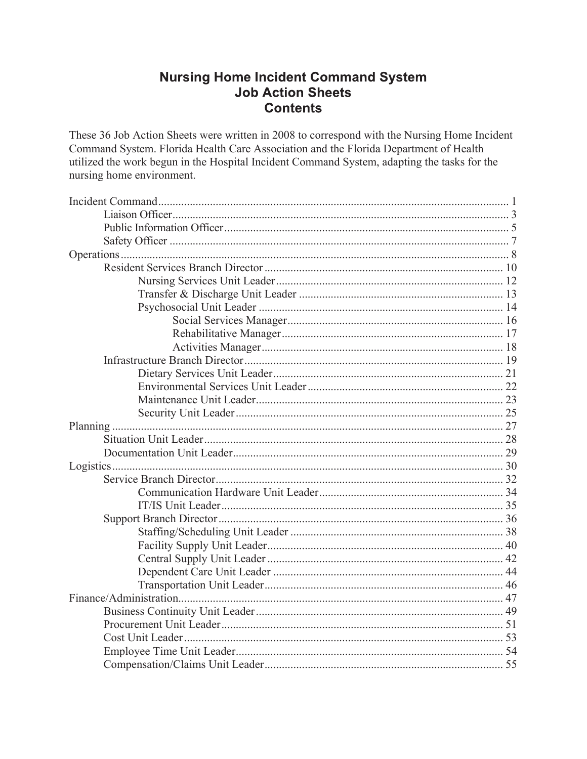#### **Nursing Home Incident Command System Job Action Sheets Contents**

These 36 Job Action Sheets were written in 2008 to correspond with the Nursing Home Incident Command System. Florida Health Care Association and the Florida Department of Health utilized the work begun in the Hospital Incident Command System, adapting the tasks for the nursing home environment.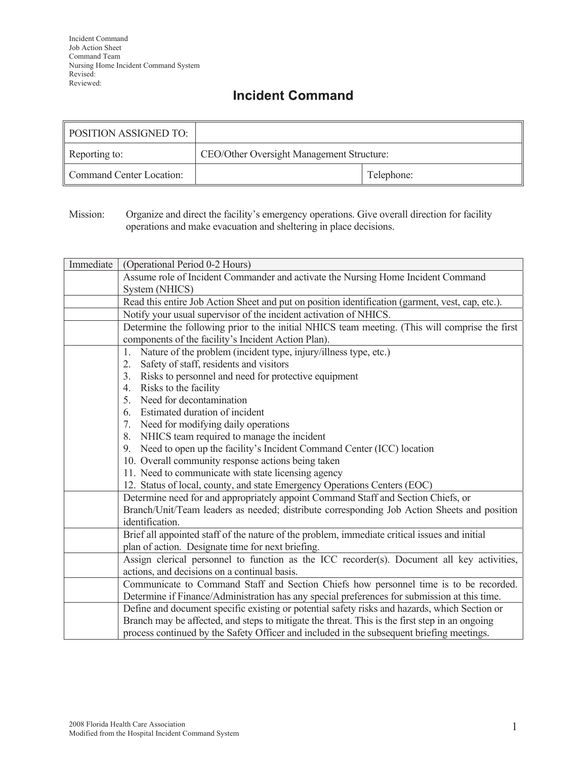## **Incident Command**

| <b>POSITION ASSIGNED TO:</b> |                                           |  |
|------------------------------|-------------------------------------------|--|
| Reporting to:                | CEO/Other Oversight Management Structure: |  |
| Command Center Location:     | Telephone:                                |  |

Mission: Organize and direct the facility's emergency operations. Give overall direction for facility operations and make evacuation and sheltering in place decisions.

| Immediate | (Operational Period 0-2 Hours)                                                                   |  |  |
|-----------|--------------------------------------------------------------------------------------------------|--|--|
|           | Assume role of Incident Commander and activate the Nursing Home Incident Command                 |  |  |
|           | System (NHICS)                                                                                   |  |  |
|           | Read this entire Job Action Sheet and put on position identification (garment, vest, cap, etc.). |  |  |
|           | Notify your usual supervisor of the incident activation of NHICS.                                |  |  |
|           | Determine the following prior to the initial NHICS team meeting. (This will comprise the first   |  |  |
|           | components of the facility's Incident Action Plan).                                              |  |  |
|           | Nature of the problem (incident type, injury/illness type, etc.)<br>1.                           |  |  |
|           | Safety of staff, residents and visitors<br>2.                                                    |  |  |
|           | Risks to personnel and need for protective equipment<br>3.                                       |  |  |
|           | Risks to the facility<br>4.                                                                      |  |  |
|           | Need for decontamination<br>5.                                                                   |  |  |
|           | Estimated duration of incident<br>6.                                                             |  |  |
|           | 7. Need for modifying daily operations                                                           |  |  |
|           | NHICS team required to manage the incident<br>8.                                                 |  |  |
|           | Need to open up the facility's Incident Command Center (ICC) location<br>9.                      |  |  |
|           | 10. Overall community response actions being taken                                               |  |  |
|           | 11. Need to communicate with state licensing agency                                              |  |  |
|           | 12. Status of local, county, and state Emergency Operations Centers (EOC)                        |  |  |
|           | Determine need for and appropriately appoint Command Staff and Section Chiefs, or                |  |  |
|           | Branch/Unit/Team leaders as needed; distribute corresponding Job Action Sheets and position      |  |  |
|           | identification.                                                                                  |  |  |
|           | Brief all appointed staff of the nature of the problem, immediate critical issues and initial    |  |  |
|           | plan of action. Designate time for next briefing.                                                |  |  |
|           | Assign clerical personnel to function as the ICC recorder(s). Document all key activities,       |  |  |
|           | actions, and decisions on a continual basis.                                                     |  |  |
|           | Communicate to Command Staff and Section Chiefs how personnel time is to be recorded.            |  |  |
|           | Determine if Finance/Administration has any special preferences for submission at this time.     |  |  |
|           | Define and document specific existing or potential safety risks and hazards, which Section or    |  |  |
|           | Branch may be affected, and steps to mitigate the threat. This is the first step in an ongoing   |  |  |
|           | process continued by the Safety Officer and included in the subsequent briefing meetings.        |  |  |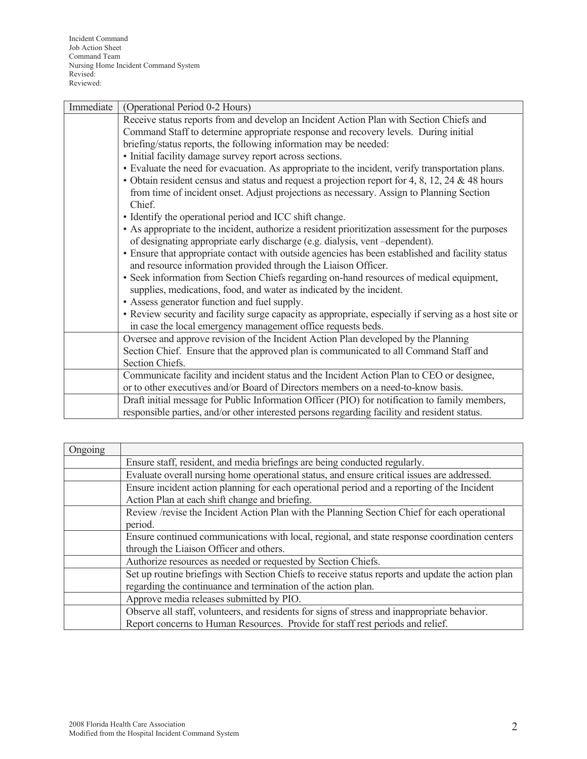| Immediate | (Operational Period 0-2 Hours)                                                                        |  |  |
|-----------|-------------------------------------------------------------------------------------------------------|--|--|
|           | Receive status reports from and develop an Incident Action Plan with Section Chiefs and               |  |  |
|           | Command Staff to determine appropriate response and recovery levels. During initial                   |  |  |
|           | briefing/status reports, the following information may be needed:                                     |  |  |
|           | • Initial facility damage survey report across sections.                                              |  |  |
|           | • Evaluate the need for evacuation. As appropriate to the incident, verify transportation plans.      |  |  |
|           | • Obtain resident census and status and request a projection report for 4, 8, 12, 24 & 48 hours       |  |  |
|           | from time of incident onset. Adjust projections as necessary. Assign to Planning Section              |  |  |
|           | Chief.                                                                                                |  |  |
|           | • Identify the operational period and ICC shift change.                                               |  |  |
|           | • As appropriate to the incident, authorize a resident prioritization assessment for the purposes     |  |  |
|           | of designating appropriate early discharge (e.g. dialysis, vent -dependent).                          |  |  |
|           | • Ensure that appropriate contact with outside agencies has been established and facility status      |  |  |
|           | and resource information provided through the Liaison Officer.                                        |  |  |
|           | • Seek information from Section Chiefs regarding on-hand resources of medical equipment,              |  |  |
|           | supplies, medications, food, and water as indicated by the incident.                                  |  |  |
|           | • Assess generator function and fuel supply.                                                          |  |  |
|           | • Review security and facility surge capacity as appropriate, especially if serving as a host site or |  |  |
|           | in case the local emergency management office requests beds.                                          |  |  |
|           | Oversee and approve revision of the Incident Action Plan developed by the Planning                    |  |  |
|           | Section Chief. Ensure that the approved plan is communicated to all Command Staff and                 |  |  |
|           | Section Chiefs.                                                                                       |  |  |
|           | Communicate facility and incident status and the Incident Action Plan to CEO or designee,             |  |  |
|           | or to other executives and/or Board of Directors members on a need-to-know basis.                     |  |  |
|           | Draft initial message for Public Information Officer (PIO) for notification to family members,        |  |  |
|           | responsible parties, and/or other interested persons regarding facility and resident status.          |  |  |

| Ongoing |                                                                                                   |  |
|---------|---------------------------------------------------------------------------------------------------|--|
|         | Ensure staff, resident, and media briefings are being conducted regularly.                        |  |
|         | Evaluate overall nursing home operational status, and ensure critical issues are addressed.       |  |
|         | Ensure incident action planning for each operational period and a reporting of the Incident       |  |
|         | Action Plan at each shift change and briefing.                                                    |  |
|         | Review /revise the Incident Action Plan with the Planning Section Chief for each operational      |  |
|         | period.                                                                                           |  |
|         | Ensure continued communications with local, regional, and state response coordination centers     |  |
|         | through the Liaison Officer and others.                                                           |  |
|         | Authorize resources as needed or requested by Section Chiefs.                                     |  |
|         | Set up routine briefings with Section Chiefs to receive status reports and update the action plan |  |
|         | regarding the continuance and termination of the action plan.                                     |  |
|         | Approve media releases submitted by PIO.                                                          |  |
|         | Observe all staff, volunteers, and residents for signs of stress and inappropriate behavior.      |  |
|         | Report concerns to Human Resources. Provide for staff rest periods and relief.                    |  |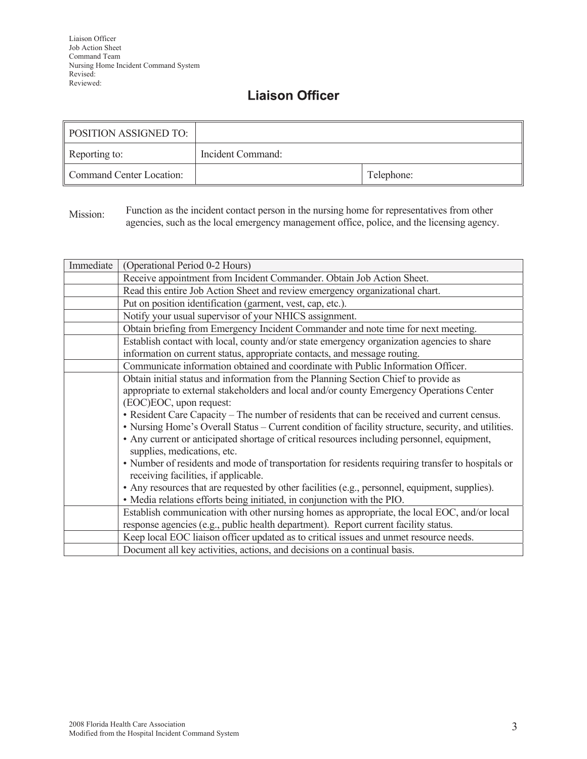### **Liaison Officer**

| <b>POSITION ASSIGNED TO:</b> |                   |            |
|------------------------------|-------------------|------------|
| Reporting to:                | Incident Command: |            |
| Command Center Location:     |                   | Telephone: |

Mission: Function as the incident contact person in the nursing home for representatives from other agencies, such as the local emergency management office, police, and the licensing agency.

| Immediate | (Operational Period 0-2 Hours)                                                                      |  |  |
|-----------|-----------------------------------------------------------------------------------------------------|--|--|
|           | Receive appointment from Incident Commander. Obtain Job Action Sheet.                               |  |  |
|           | Read this entire Job Action Sheet and review emergency organizational chart.                        |  |  |
|           | Put on position identification (garment, vest, cap, etc.).                                          |  |  |
|           | Notify your usual supervisor of your NHICS assignment.                                              |  |  |
|           | Obtain briefing from Emergency Incident Commander and note time for next meeting.                   |  |  |
|           | Establish contact with local, county and/or state emergency organization agencies to share          |  |  |
|           | information on current status, appropriate contacts, and message routing.                           |  |  |
|           | Communicate information obtained and coordinate with Public Information Officer.                    |  |  |
|           | Obtain initial status and information from the Planning Section Chief to provide as                 |  |  |
|           | appropriate to external stakeholders and local and/or county Emergency Operations Center            |  |  |
|           | (EOC)EOC, upon request:                                                                             |  |  |
|           | • Resident Care Capacity – The number of residents that can be received and current census.         |  |  |
|           | • Nursing Home's Overall Status – Current condition of facility structure, security, and utilities. |  |  |
|           | • Any current or anticipated shortage of critical resources including personnel, equipment,         |  |  |
|           | supplies, medications, etc.                                                                         |  |  |
|           | • Number of residents and mode of transportation for residents requiring transfer to hospitals or   |  |  |
|           | receiving facilities, if applicable.                                                                |  |  |
|           | • Any resources that are requested by other facilities (e.g., personnel, equipment, supplies).      |  |  |
|           | • Media relations efforts being initiated, in conjunction with the PIO.                             |  |  |
|           | Establish communication with other nursing homes as appropriate, the local EOC, and/or local        |  |  |
|           | response agencies (e.g., public health department). Report current facility status.                 |  |  |
|           | Keep local EOC liaison officer updated as to critical issues and unmet resource needs.              |  |  |
|           | Document all key activities, actions, and decisions on a continual basis.                           |  |  |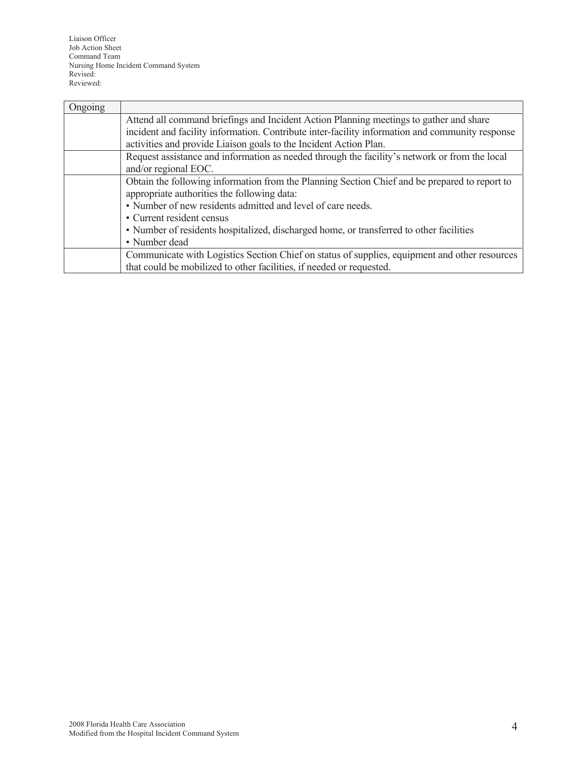Liaison Officer Job Action Sheet Command Team Nursing Home Incident Command System Revised: Reviewed:

| Ongoing |                                                                                                 |  |
|---------|-------------------------------------------------------------------------------------------------|--|
|         | Attend all command briefings and Incident Action Planning meetings to gather and share          |  |
|         | incident and facility information. Contribute inter-facility information and community response |  |
|         | activities and provide Liaison goals to the Incident Action Plan.                               |  |
|         | Request assistance and information as needed through the facility's network or from the local   |  |
|         | and/or regional EOC.                                                                            |  |
|         | Obtain the following information from the Planning Section Chief and be prepared to report to   |  |
|         | appropriate authorities the following data:                                                     |  |
|         | • Number of new residents admitted and level of care needs.                                     |  |
|         | • Current resident census                                                                       |  |
|         | • Number of residents hospitalized, discharged home, or transferred to other facilities         |  |
|         | • Number dead                                                                                   |  |
|         | Communicate with Logistics Section Chief on status of supplies, equipment and other resources   |  |
|         | that could be mobilized to other facilities, if needed or requested.                            |  |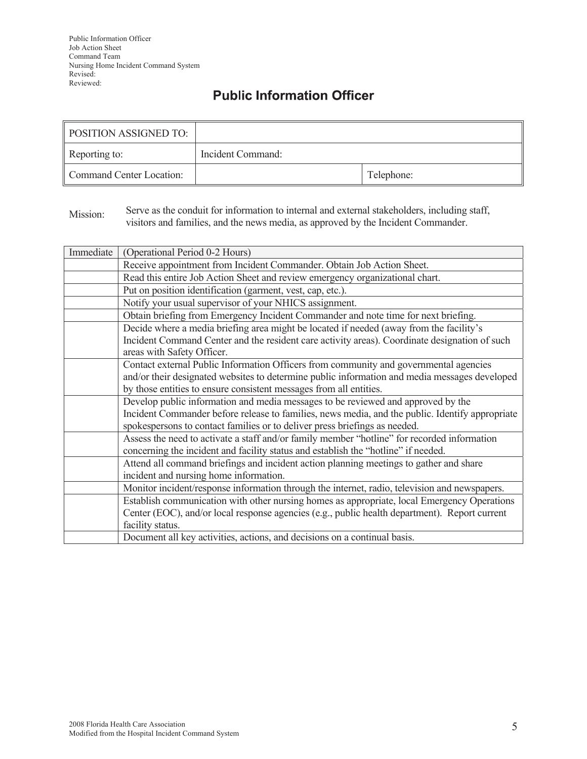## **Public Information Officer**

| <b>POSITION ASSIGNED TO:</b> |                   |            |
|------------------------------|-------------------|------------|
| Reporting to:                | Incident Command: |            |
| Command Center Location:     |                   | Telephone: |

Mission: Serve as the conduit for information to internal and external stakeholders, including staff, visitors and families, and the news media, as approved by the Incident Commander.

| Immediate | (Operational Period 0-2 Hours)                                                                  |  |
|-----------|-------------------------------------------------------------------------------------------------|--|
|           | Receive appointment from Incident Commander. Obtain Job Action Sheet.                           |  |
|           | Read this entire Job Action Sheet and review emergency organizational chart.                    |  |
|           | Put on position identification (garment, vest, cap, etc.).                                      |  |
|           | Notify your usual supervisor of your NHICS assignment.                                          |  |
|           | Obtain briefing from Emergency Incident Commander and note time for next briefing.              |  |
|           | Decide where a media briefing area might be located if needed (away from the facility's         |  |
|           | Incident Command Center and the resident care activity areas). Coordinate designation of such   |  |
|           | areas with Safety Officer.                                                                      |  |
|           | Contact external Public Information Officers from community and governmental agencies           |  |
|           | and/or their designated websites to determine public information and media messages developed   |  |
|           | by those entities to ensure consistent messages from all entities.                              |  |
|           | Develop public information and media messages to be reviewed and approved by the                |  |
|           | Incident Commander before release to families, news media, and the public. Identify appropriate |  |
|           | spokespersons to contact families or to deliver press briefings as needed.                      |  |
|           | Assess the need to activate a staff and/or family member "hotline" for recorded information     |  |
|           | concerning the incident and facility status and establish the "hotline" if needed.              |  |
|           | Attend all command briefings and incident action planning meetings to gather and share          |  |
|           | incident and nursing home information.                                                          |  |
|           | Monitor incident/response information through the internet, radio, television and newspapers.   |  |
|           | Establish communication with other nursing homes as appropriate, local Emergency Operations     |  |
|           | Center (EOC), and/or local response agencies (e.g., public health department). Report current   |  |
|           | facility status.                                                                                |  |
|           | Document all key activities, actions, and decisions on a continual basis.                       |  |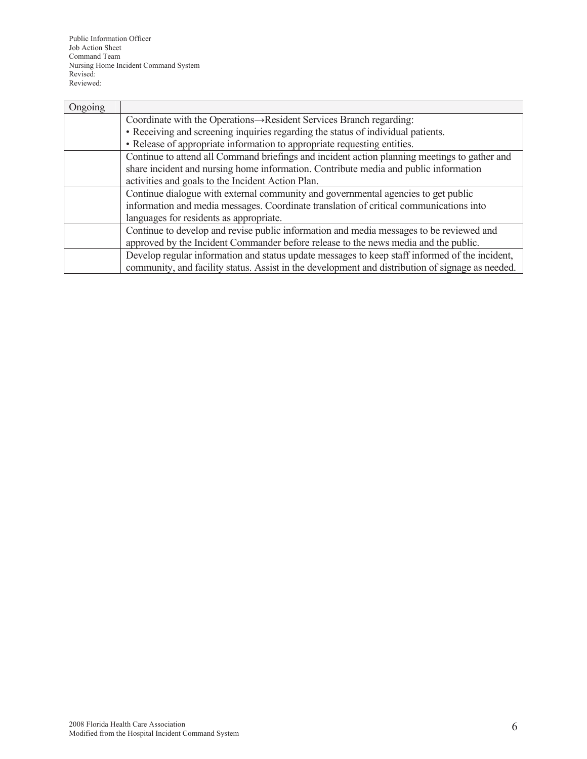Public Information Officer Job Action Sheet Command Team Nursing Home Incident Command System Revised: Reviewed:

| Ongoing |                                                                                                  |  |  |
|---------|--------------------------------------------------------------------------------------------------|--|--|
|         | Coordinate with the Operations -> Resident Services Branch regarding:                            |  |  |
|         | • Receiving and screening inquiries regarding the status of individual patients.                 |  |  |
|         | • Release of appropriate information to appropriate requesting entities.                         |  |  |
|         | Continue to attend all Command briefings and incident action planning meetings to gather and     |  |  |
|         | share incident and nursing home information. Contribute media and public information             |  |  |
|         | activities and goals to the Incident Action Plan.                                                |  |  |
|         | Continue dialogue with external community and governmental agencies to get public                |  |  |
|         | information and media messages. Coordinate translation of critical communications into           |  |  |
|         | languages for residents as appropriate.                                                          |  |  |
|         | Continue to develop and revise public information and media messages to be reviewed and          |  |  |
|         | approved by the Incident Commander before release to the news media and the public.              |  |  |
|         | Develop regular information and status update messages to keep staff informed of the incident,   |  |  |
|         | community, and facility status. Assist in the development and distribution of signage as needed. |  |  |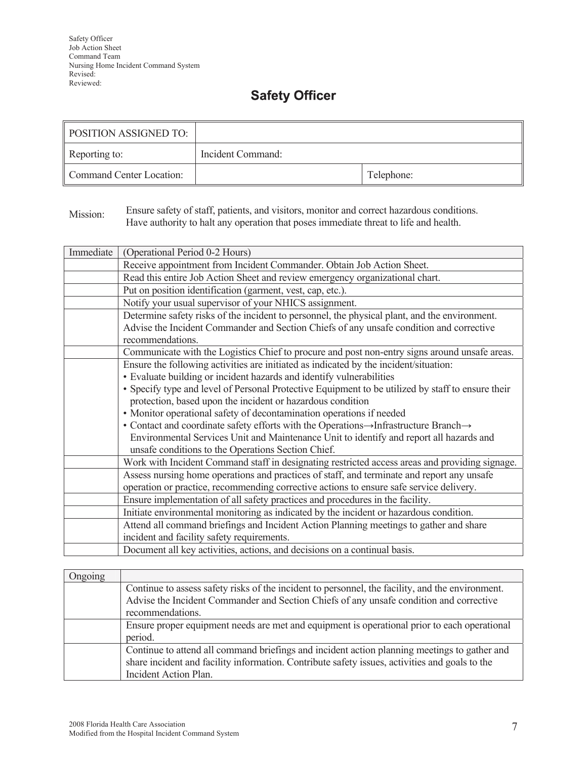# **Safety Officer**

| POSITION ASSIGNED TO:    |                   |            |
|--------------------------|-------------------|------------|
| Reporting to:            | Incident Command: |            |
| Command Center Location: |                   | Telephone: |

Mission: Ensure safety of staff, patients, and visitors, monitor and correct hazardous conditions. Have authority to halt any operation that poses immediate threat to life and health.

| Immediate | (Operational Period 0-2 Hours)                                                                    |
|-----------|---------------------------------------------------------------------------------------------------|
|           | Receive appointment from Incident Commander. Obtain Job Action Sheet.                             |
|           | Read this entire Job Action Sheet and review emergency organizational chart.                      |
|           | Put on position identification (garment, vest, cap, etc.).                                        |
|           | Notify your usual supervisor of your NHICS assignment.                                            |
|           | Determine safety risks of the incident to personnel, the physical plant, and the environment.     |
|           | Advise the Incident Commander and Section Chiefs of any unsafe condition and corrective           |
|           | recommendations.                                                                                  |
|           | Communicate with the Logistics Chief to procure and post non-entry signs around unsafe areas.     |
|           | Ensure the following activities are initiated as indicated by the incident/situation:             |
|           | • Evaluate building or incident hazards and identify vulnerabilities                              |
|           | • Specify type and level of Personal Protective Equipment to be utilized by staff to ensure their |
|           | protection, based upon the incident or hazardous condition                                        |
|           | • Monitor operational safety of decontamination operations if needed                              |
|           | • Contact and coordinate safety efforts with the Operations->Infrastructure Branch->              |
|           | Environmental Services Unit and Maintenance Unit to identify and report all hazards and           |
|           | unsafe conditions to the Operations Section Chief.                                                |
|           | Work with Incident Command staff in designating restricted access areas and providing signage.    |
|           | Assess nursing home operations and practices of staff, and terminate and report any unsafe        |
|           | operation or practice, recommending corrective actions to ensure safe service delivery.           |
|           | Ensure implementation of all safety practices and procedures in the facility.                     |
|           | Initiate environmental monitoring as indicated by the incident or hazardous condition.            |
|           | Attend all command briefings and Incident Action Planning meetings to gather and share            |
|           | incident and facility safety requirements.                                                        |
|           | Document all key activities, actions, and decisions on a continual basis.                         |

| Ongoing |                                                                                                  |
|---------|--------------------------------------------------------------------------------------------------|
|         | Continue to assess safety risks of the incident to personnel, the facility, and the environment. |
|         | Advise the Incident Commander and Section Chiefs of any unsafe condition and corrective          |
|         | recommendations.                                                                                 |
|         | Ensure proper equipment needs are met and equipment is operational prior to each operational     |
|         | period.                                                                                          |
|         | Continue to attend all command briefings and incident action planning meetings to gather and     |
|         | share incident and facility information. Contribute safety issues, activities and goals to the   |
|         | Incident Action Plan.                                                                            |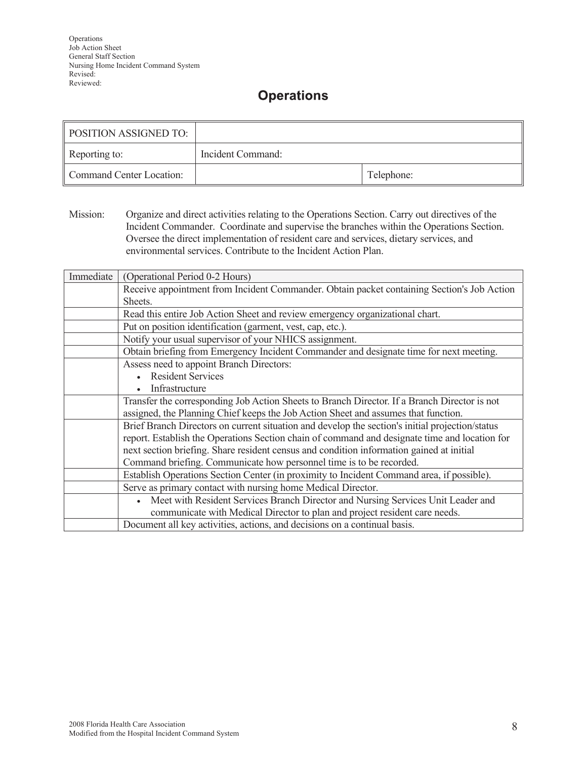## **Operations**

| <b>POSITION ASSIGNED TO:</b> |                   |            |
|------------------------------|-------------------|------------|
| Reporting to:                | Incident Command: |            |
| Command Center Location:     |                   | Telephone: |

Mission: Organize and direct activities relating to the Operations Section. Carry out directives of the Incident Commander. Coordinate and supervise the branches within the Operations Section. Oversee the direct implementation of resident care and services, dietary services, and environmental services. Contribute to the Incident Action Plan.

| Immediate | (Operational Period 0-2 Hours)                                                                  |
|-----------|-------------------------------------------------------------------------------------------------|
|           | Receive appointment from Incident Commander. Obtain packet containing Section's Job Action      |
|           | Sheets.                                                                                         |
|           | Read this entire Job Action Sheet and review emergency organizational chart.                    |
|           | Put on position identification (garment, vest, cap, etc.).                                      |
|           | Notify your usual supervisor of your NHICS assignment.                                          |
|           | Obtain briefing from Emergency Incident Commander and designate time for next meeting.          |
|           | Assess need to appoint Branch Directors:                                                        |
|           | <b>Resident Services</b>                                                                        |
|           | Infrastructure                                                                                  |
|           | Transfer the corresponding Job Action Sheets to Branch Director. If a Branch Director is not    |
|           | assigned, the Planning Chief keeps the Job Action Sheet and assumes that function.              |
|           | Brief Branch Directors on current situation and develop the section's initial projection/status |
|           | report. Establish the Operations Section chain of command and designate time and location for   |
|           | next section briefing. Share resident census and condition information gained at initial        |
|           | Command briefing. Communicate how personnel time is to be recorded.                             |
|           | Establish Operations Section Center (in proximity to Incident Command area, if possible).       |
|           | Serve as primary contact with nursing home Medical Director.                                    |
|           | Meet with Resident Services Branch Director and Nursing Services Unit Leader and                |
|           | communicate with Medical Director to plan and project resident care needs.                      |
|           | Document all key activities, actions, and decisions on a continual basis.                       |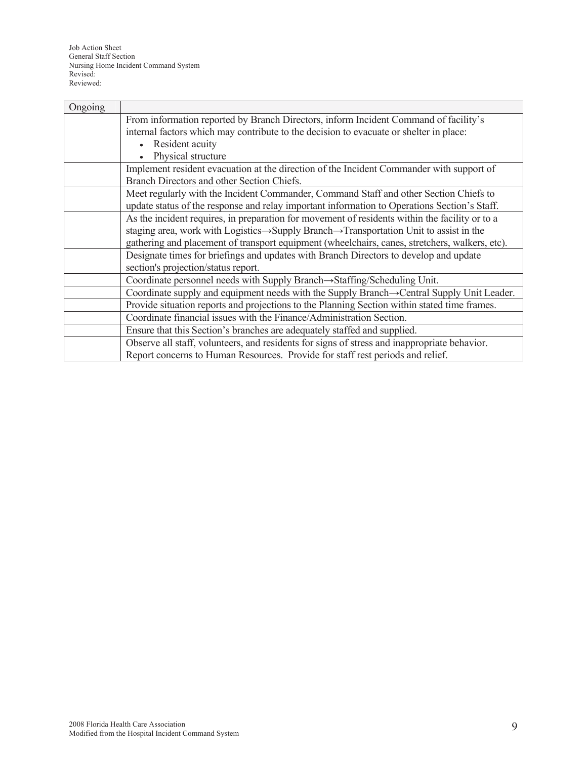| Ongoing |                                                                                                     |
|---------|-----------------------------------------------------------------------------------------------------|
|         | From information reported by Branch Directors, inform Incident Command of facility's                |
|         | internal factors which may contribute to the decision to evacuate or shelter in place:              |
|         | Resident acuity                                                                                     |
|         | Physical structure                                                                                  |
|         | Implement resident evacuation at the direction of the Incident Commander with support of            |
|         | Branch Directors and other Section Chiefs.                                                          |
|         | Meet regularly with the Incident Commander, Command Staff and other Section Chiefs to               |
|         | update status of the response and relay important information to Operations Section's Staff.        |
|         | As the incident requires, in preparation for movement of residents within the facility or to a      |
|         | staging area, work with Logistics→Supply Branch→Transportation Unit to assist in the                |
|         | gathering and placement of transport equipment (wheelchairs, canes, stretchers, walkers, etc).      |
|         | Designate times for briefings and updates with Branch Directors to develop and update               |
|         | section's projection/status report.                                                                 |
|         | Coordinate personnel needs with Supply Branch $\rightarrow$ Staffing/Scheduling Unit.               |
|         | Coordinate supply and equipment needs with the Supply Branch  ightarrow Central Supply Unit Leader. |
|         | Provide situation reports and projections to the Planning Section within stated time frames.        |
|         | Coordinate financial issues with the Finance/Administration Section.                                |
|         | Ensure that this Section's branches are adequately staffed and supplied.                            |
|         | Observe all staff, volunteers, and residents for signs of stress and inappropriate behavior.        |
|         | Report concerns to Human Resources. Provide for staff rest periods and relief.                      |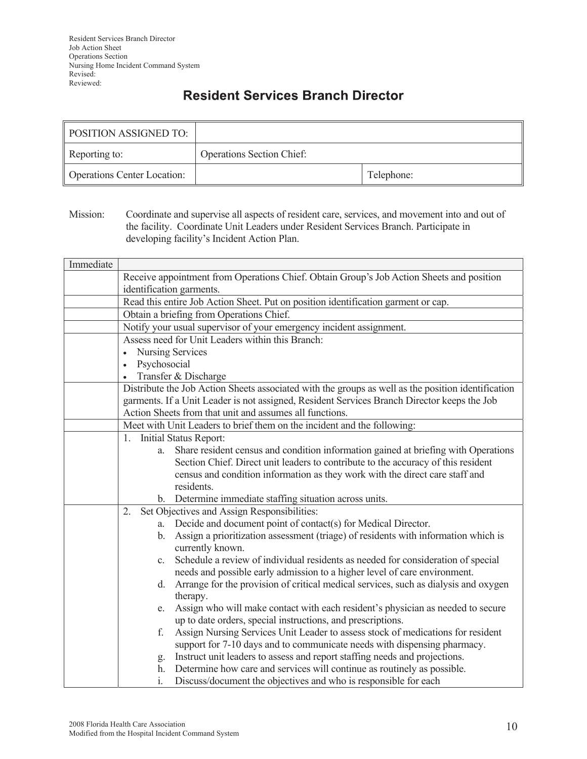## **Resident Services Branch Director**

| POSITION ASSIGNED TO:              |                                  |            |
|------------------------------------|----------------------------------|------------|
| Reporting to:                      | <b>Operations Section Chief:</b> |            |
| <b>Operations Center Location:</b> |                                  | Telephone: |

Mission: Coordinate and supervise all aspects of resident care, services, and movement into and out of the facility. Coordinate Unit Leaders under Resident Services Branch. Participate in developing facility's Incident Action Plan.

| Immediate |                                                                                                                   |
|-----------|-------------------------------------------------------------------------------------------------------------------|
|           | Receive appointment from Operations Chief. Obtain Group's Job Action Sheets and position                          |
|           | identification garments.                                                                                          |
|           | Read this entire Job Action Sheet. Put on position identification garment or cap.                                 |
|           | Obtain a briefing from Operations Chief.                                                                          |
|           | Notify your usual supervisor of your emergency incident assignment.                                               |
|           | Assess need for Unit Leaders within this Branch:                                                                  |
|           | Nursing Services<br>$\bullet$                                                                                     |
|           | Psychosocial<br>$\bullet$                                                                                         |
|           | Transfer & Discharge                                                                                              |
|           | Distribute the Job Action Sheets associated with the groups as well as the position identification                |
|           | garments. If a Unit Leader is not assigned, Resident Services Branch Director keeps the Job                       |
|           | Action Sheets from that unit and assumes all functions.                                                           |
|           | Meet with Unit Leaders to brief them on the incident and the following:                                           |
|           | Initial Status Report:<br>1.                                                                                      |
|           | Share resident census and condition information gained at briefing with Operations<br>a.                          |
|           | Section Chief. Direct unit leaders to contribute to the accuracy of this resident                                 |
|           | census and condition information as they work with the direct care staff and                                      |
|           | residents.                                                                                                        |
|           | b. Determine immediate staffing situation across units.                                                           |
|           | 2.<br>Set Objectives and Assign Responsibilities:                                                                 |
|           | Decide and document point of contact(s) for Medical Director.<br>a.                                               |
|           | Assign a prioritization assessment (triage) of residents with information which is<br>$b_{-}$<br>currently known. |
|           | Schedule a review of individual residents as needed for consideration of special<br>$c_{\cdot}$                   |
|           | needs and possible early admission to a higher level of care environment.                                         |
|           | Arrange for the provision of critical medical services, such as dialysis and oxygen<br>d.                         |
|           | therapy.                                                                                                          |
|           | Assign who will make contact with each resident's physician as needed to secure<br>e.                             |
|           | up to date orders, special instructions, and prescriptions.                                                       |
|           | Assign Nursing Services Unit Leader to assess stock of medications for resident<br>f.                             |
|           | support for 7-10 days and to communicate needs with dispensing pharmacy.                                          |
|           | Instruct unit leaders to assess and report staffing needs and projections.<br>g.                                  |
|           | Determine how care and services will continue as routinely as possible.<br>h.                                     |
|           | i.<br>Discuss/document the objectives and who is responsible for each                                             |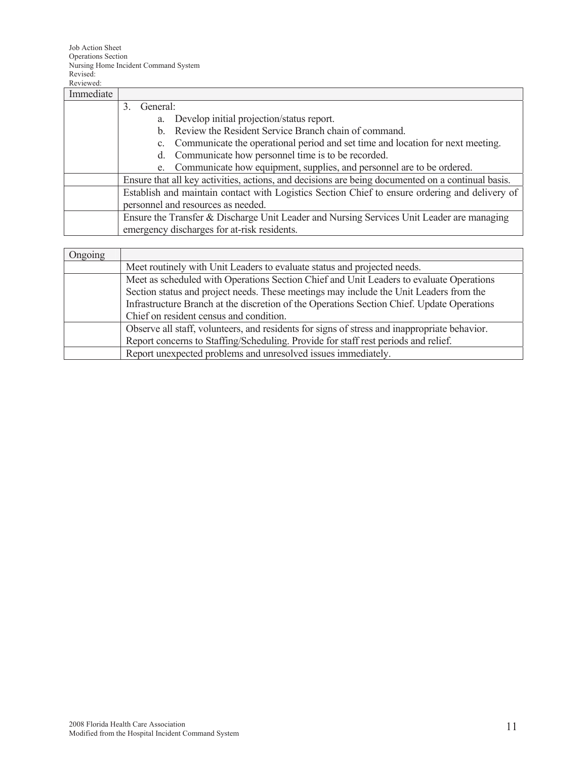| Immediate |                                                                                                   |
|-----------|---------------------------------------------------------------------------------------------------|
|           | General:<br>3                                                                                     |
|           | Develop initial projection/status report.<br>a.                                                   |
|           | Review the Resident Service Branch chain of command.<br>b.                                        |
|           | Communicate the operational period and set time and location for next meeting.                    |
|           | Communicate how personnel time is to be recorded.<br>d.                                           |
|           | e. Communicate how equipment, supplies, and personnel are to be ordered.                          |
|           | Ensure that all key activities, actions, and decisions are being documented on a continual basis. |
|           | Establish and maintain contact with Logistics Section Chief to ensure ordering and delivery of    |
|           | personnel and resources as needed.                                                                |
|           | Ensure the Transfer & Discharge Unit Leader and Nursing Services Unit Leader are managing         |
|           | emergency discharges for at-risk residents.                                                       |
|           |                                                                                                   |

| Ongoing |                                                                                              |
|---------|----------------------------------------------------------------------------------------------|
|         | Meet routinely with Unit Leaders to evaluate status and projected needs.                     |
|         | Meet as scheduled with Operations Section Chief and Unit Leaders to evaluate Operations      |
|         | Section status and project needs. These meetings may include the Unit Leaders from the       |
|         | Infrastructure Branch at the discretion of the Operations Section Chief. Update Operations   |
|         | Chief on resident census and condition.                                                      |
|         | Observe all staff, volunteers, and residents for signs of stress and inappropriate behavior. |
|         | Report concerns to Staffing/Scheduling. Provide for staff rest periods and relief.           |
|         | Report unexpected problems and unresolved issues immediately.                                |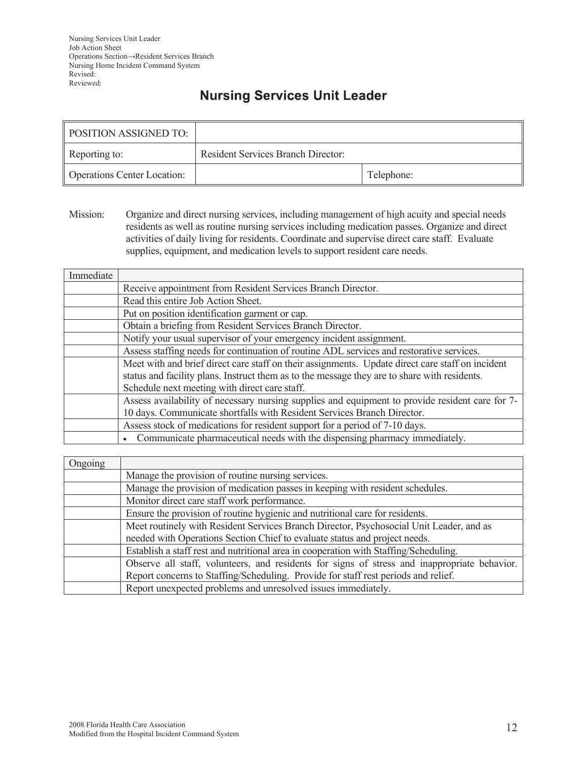## **Nursing Services Unit Leader**

| <b>POSITION ASSIGNED TO:</b>       |                                           |            |
|------------------------------------|-------------------------------------------|------------|
| Reporting to:                      | <b>Resident Services Branch Director:</b> |            |
| <b>Operations Center Location:</b> |                                           | Telephone: |

Mission: Organize and direct nursing services, including management of high acuity and special needs residents as well as routine nursing services including medication passes. Organize and direct activities of daily living for residents. Coordinate and supervise direct care staff. Evaluate supplies, equipment, and medication levels to support resident care needs.

| Immediate |                                                                                                  |
|-----------|--------------------------------------------------------------------------------------------------|
|           | Receive appointment from Resident Services Branch Director.                                      |
|           | Read this entire Job Action Sheet.                                                               |
|           | Put on position identification garment or cap.                                                   |
|           | Obtain a briefing from Resident Services Branch Director.                                        |
|           | Notify your usual supervisor of your emergency incident assignment.                              |
|           | Assess staffing needs for continuation of routine ADL services and restorative services.         |
|           | Meet with and brief direct care staff on their assignments. Update direct care staff on incident |
|           | status and facility plans. Instruct them as to the message they are to share with residents.     |
|           | Schedule next meeting with direct care staff.                                                    |
|           | Assess availability of necessary nursing supplies and equipment to provide resident care for 7-  |
|           | 10 days. Communicate shortfalls with Resident Services Branch Director.                          |
|           | Assess stock of medications for resident support for a period of 7-10 days.                      |
|           | Communicate pharmaceutical needs with the dispensing pharmacy immediately.                       |

| Ongoing |                                                                                              |
|---------|----------------------------------------------------------------------------------------------|
|         | Manage the provision of routine nursing services.                                            |
|         | Manage the provision of medication passes in keeping with resident schedules.                |
|         | Monitor direct care staff work performance.                                                  |
|         | Ensure the provision of routine hygienic and nutritional care for residents.                 |
|         | Meet routinely with Resident Services Branch Director, Psychosocial Unit Leader, and as      |
|         | needed with Operations Section Chief to evaluate status and project needs.                   |
|         | Establish a staff rest and nutritional area in cooperation with Staffing/Scheduling.         |
|         | Observe all staff, volunteers, and residents for signs of stress and inappropriate behavior. |
|         | Report concerns to Staffing/Scheduling. Provide for staff rest periods and relief.           |
|         | Report unexpected problems and unresolved issues immediately.                                |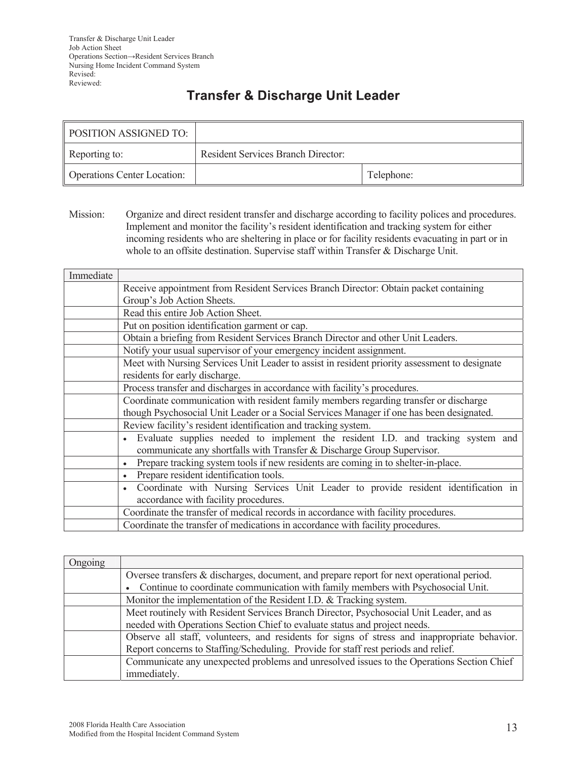## **Transfer & Discharge Unit Leader**

| <b>POSITION ASSIGNED TO:</b>       |                                           |            |
|------------------------------------|-------------------------------------------|------------|
| Reporting to:                      | <b>Resident Services Branch Director:</b> |            |
| <b>Operations Center Location:</b> |                                           | Telephone: |

Mission: Organize and direct resident transfer and discharge according to facility polices and procedures. Implement and monitor the facility's resident identification and tracking system for either incoming residents who are sheltering in place or for facility residents evacuating in part or in whole to an offsite destination. Supervise staff within Transfer & Discharge Unit.

| Immediate |                                                                                               |
|-----------|-----------------------------------------------------------------------------------------------|
|           | Receive appointment from Resident Services Branch Director: Obtain packet containing          |
|           | Group's Job Action Sheets.                                                                    |
|           | Read this entire Job Action Sheet.                                                            |
|           | Put on position identification garment or cap.                                                |
|           | Obtain a briefing from Resident Services Branch Director and other Unit Leaders.              |
|           | Notify your usual supervisor of your emergency incident assignment.                           |
|           | Meet with Nursing Services Unit Leader to assist in resident priority assessment to designate |
|           | residents for early discharge.                                                                |
|           | Process transfer and discharges in accordance with facility's procedures.                     |
|           | Coordinate communication with resident family members regarding transfer or discharge         |
|           | though Psychosocial Unit Leader or a Social Services Manager if one has been designated.      |
|           | Review facility's resident identification and tracking system.                                |
|           | Evaluate supplies needed to implement the resident I.D. and tracking system and               |
|           | communicate any shortfalls with Transfer & Discharge Group Supervisor.                        |
|           | Prepare tracking system tools if new residents are coming in to shelter-in-place.             |
|           | Prepare resident identification tools.                                                        |
|           | Coordinate with Nursing Services Unit Leader to provide resident identification in            |
|           | accordance with facility procedures.                                                          |
|           | Coordinate the transfer of medical records in accordance with facility procedures.            |
|           | Coordinate the transfer of medications in accordance with facility procedures.                |

| Ongoing |                                                                                              |
|---------|----------------------------------------------------------------------------------------------|
|         | Oversee transfers & discharges, document, and prepare report for next operational period.    |
|         | • Continue to coordinate communication with family members with Psychosocial Unit.           |
|         | Monitor the implementation of the Resident I.D. & Tracking system.                           |
|         | Meet routinely with Resident Services Branch Director, Psychosocial Unit Leader, and as      |
|         | needed with Operations Section Chief to evaluate status and project needs.                   |
|         | Observe all staff, volunteers, and residents for signs of stress and inappropriate behavior. |
|         | Report concerns to Staffing/Scheduling. Provide for staff rest periods and relief.           |
|         | Communicate any unexpected problems and unresolved issues to the Operations Section Chief    |
|         | immediately.                                                                                 |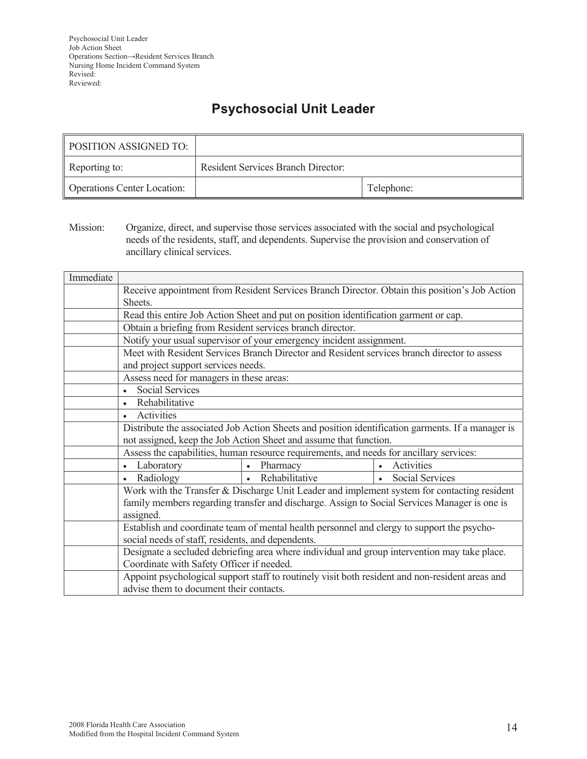## **Psychosocial Unit Leader**

| POSITION ASSIGNED TO:              |                                           |            |
|------------------------------------|-------------------------------------------|------------|
| Reporting to:                      | <b>Resident Services Branch Director:</b> |            |
| <b>Operations Center Location:</b> |                                           | Telephone: |

Mission: Organize, direct, and supervise those services associated with the social and psychological needs of the residents, staff, and dependents. Supervise the provision and conservation of ancillary clinical services.

| Immediate |                                                                                                          |                                                                                             |                                                                                                   |
|-----------|----------------------------------------------------------------------------------------------------------|---------------------------------------------------------------------------------------------|---------------------------------------------------------------------------------------------------|
|           | Receive appointment from Resident Services Branch Director. Obtain this position's Job Action<br>Sheets. |                                                                                             |                                                                                                   |
|           |                                                                                                          | Read this entire Job Action Sheet and put on position identification garment or cap.        |                                                                                                   |
|           | Obtain a briefing from Resident services branch director.                                                |                                                                                             |                                                                                                   |
|           |                                                                                                          | Notify your usual supervisor of your emergency incident assignment.                         |                                                                                                   |
|           |                                                                                                          | Meet with Resident Services Branch Director and Resident services branch director to assess |                                                                                                   |
|           | and project support services needs.                                                                      |                                                                                             |                                                                                                   |
|           | Assess need for managers in these areas:                                                                 |                                                                                             |                                                                                                   |
|           | <b>Social Services</b>                                                                                   |                                                                                             |                                                                                                   |
|           | Rehabilitative<br>$\bullet$                                                                              |                                                                                             |                                                                                                   |
|           | Activities<br>$\bullet$                                                                                  |                                                                                             |                                                                                                   |
|           |                                                                                                          |                                                                                             | Distribute the associated Job Action Sheets and position identification garments. If a manager is |
|           | not assigned, keep the Job Action Sheet and assume that function.                                        |                                                                                             |                                                                                                   |
|           |                                                                                                          | Assess the capabilities, human resource requirements, and needs for ancillary services:     |                                                                                                   |
|           | • Laboratory                                                                                             | Pharmacy                                                                                    | Activities                                                                                        |
|           | Radiology<br>$\bullet$                                                                                   | • Rehabilitative                                                                            | Social Services<br>$\bullet$                                                                      |
|           |                                                                                                          |                                                                                             | Work with the Transfer & Discharge Unit Leader and implement system for contacting resident       |
|           |                                                                                                          |                                                                                             | family members regarding transfer and discharge. Assign to Social Services Manager is one is      |
|           | assigned.                                                                                                |                                                                                             |                                                                                                   |
|           | Establish and coordinate team of mental health personnel and clergy to support the psycho-               |                                                                                             |                                                                                                   |
|           | social needs of staff, residents, and dependents.                                                        |                                                                                             |                                                                                                   |
|           | Designate a secluded debriefing area where individual and group intervention may take place.             |                                                                                             |                                                                                                   |
|           | Coordinate with Safety Officer if needed.                                                                |                                                                                             |                                                                                                   |
|           |                                                                                                          |                                                                                             | Appoint psychological support staff to routinely visit both resident and non-resident areas and   |
|           | advise them to document their contacts.                                                                  |                                                                                             |                                                                                                   |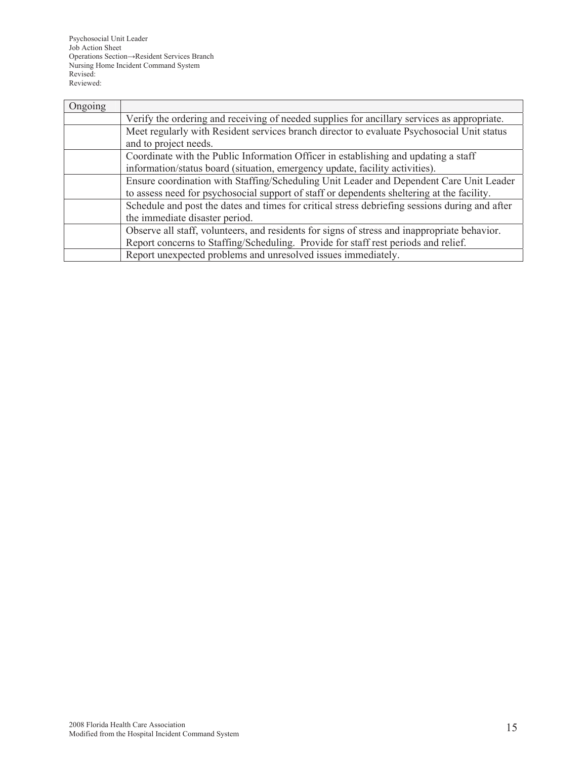Psychosocial Unit Leader Job Action Sheet Operations Section→Resident Services Branch Nursing Home Incident Command System Revised: Reviewed:

| Ongoing |                                                                                                |
|---------|------------------------------------------------------------------------------------------------|
|         | Verify the ordering and receiving of needed supplies for ancillary services as appropriate.    |
|         | Meet regularly with Resident services branch director to evaluate Psychosocial Unit status     |
|         | and to project needs.                                                                          |
|         | Coordinate with the Public Information Officer in establishing and updating a staff            |
|         | information/status board (situation, emergency update, facility activities).                   |
|         | Ensure coordination with Staffing/Scheduling Unit Leader and Dependent Care Unit Leader        |
|         | to assess need for psychosocial support of staff or dependents sheltering at the facility.     |
|         | Schedule and post the dates and times for critical stress debriefing sessions during and after |
|         | the immediate disaster period.                                                                 |
|         | Observe all staff, volunteers, and residents for signs of stress and inappropriate behavior.   |
|         | Report concerns to Staffing/Scheduling. Provide for staff rest periods and relief.             |
|         | Report unexpected problems and unresolved issues immediately.                                  |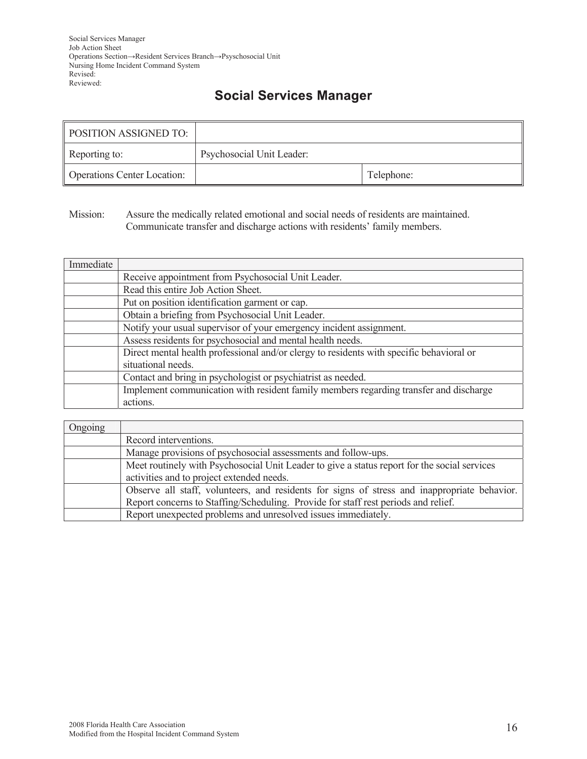## **Social Services Manager**

| <b>POSITION ASSIGNED TO:</b>       |                           |            |
|------------------------------------|---------------------------|------------|
| Reporting to:                      | Psychosocial Unit Leader: |            |
| <b>Operations Center Location:</b> |                           | Telephone: |

Mission: Assure the medically related emotional and social needs of residents are maintained. Communicate transfer and discharge actions with residents' family members.

| Immediate |                                                                                          |
|-----------|------------------------------------------------------------------------------------------|
|           | Receive appointment from Psychosocial Unit Leader.                                       |
|           | Read this entire Job Action Sheet.                                                       |
|           | Put on position identification garment or cap.                                           |
|           | Obtain a briefing from Psychosocial Unit Leader.                                         |
|           | Notify your usual supervisor of your emergency incident assignment.                      |
|           | Assess residents for psychosocial and mental health needs.                               |
|           | Direct mental health professional and/or clergy to residents with specific behavioral or |
|           | situational needs.                                                                       |
|           | Contact and bring in psychologist or psychiatrist as needed.                             |
|           | Implement communication with resident family members regarding transfer and discharge    |
|           | actions.                                                                                 |

| Ongoing |                                                                                              |
|---------|----------------------------------------------------------------------------------------------|
|         | Record interventions.                                                                        |
|         | Manage provisions of psychosocial assessments and follow-ups.                                |
|         | Meet routinely with Psychosocial Unit Leader to give a status report for the social services |
|         | activities and to project extended needs.                                                    |
|         | Observe all staff, volunteers, and residents for signs of stress and inappropriate behavior. |
|         | Report concerns to Staffing/Scheduling. Provide for staff rest periods and relief.           |
|         | Report unexpected problems and unresolved issues immediately.                                |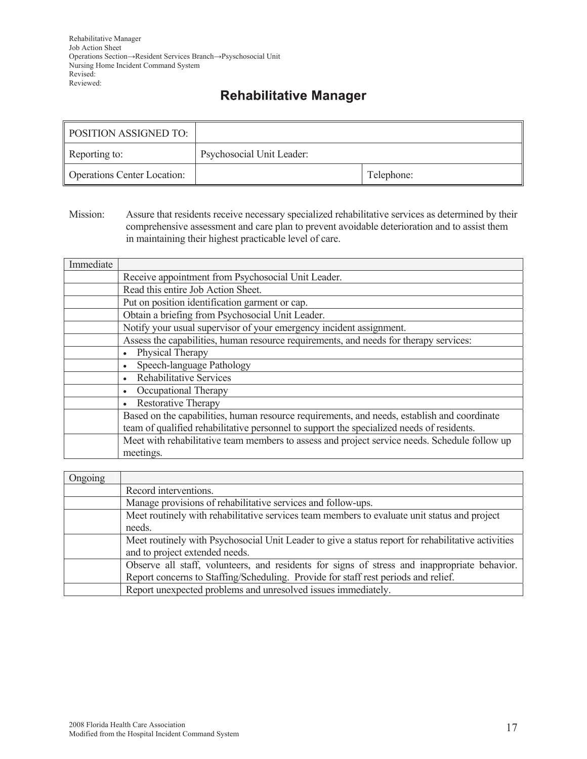## **Rehabilitative Manager**

| POSITION ASSIGNED TO:              |                           |            |
|------------------------------------|---------------------------|------------|
| Reporting to:                      | Psychosocial Unit Leader: |            |
| <b>Operations Center Location:</b> |                           | Telephone: |

Mission: Assure that residents receive necessary specialized rehabilitative services as determined by their comprehensive assessment and care plan to prevent avoidable deterioration and to assist them in maintaining their highest practicable level of care.

| Immediate |                                                                                               |
|-----------|-----------------------------------------------------------------------------------------------|
|           | Receive appointment from Psychosocial Unit Leader.                                            |
|           | Read this entire Job Action Sheet.                                                            |
|           | Put on position identification garment or cap.                                                |
|           | Obtain a briefing from Psychosocial Unit Leader.                                              |
|           | Notify your usual supervisor of your emergency incident assignment.                           |
|           | Assess the capabilities, human resource requirements, and needs for therapy services:         |
|           | Physical Therapy                                                                              |
|           | Speech-language Pathology                                                                     |
|           | Rehabilitative Services                                                                       |
|           | Occupational Therapy                                                                          |
|           | <b>Restorative Therapy</b>                                                                    |
|           | Based on the capabilities, human resource requirements, and needs, establish and coordinate   |
|           | team of qualified rehabilitative personnel to support the specialized needs of residents.     |
|           | Meet with rehabilitative team members to assess and project service needs. Schedule follow up |
|           | meetings.                                                                                     |

| Ongoing |                                                                                                    |
|---------|----------------------------------------------------------------------------------------------------|
|         | Record interventions.                                                                              |
|         | Manage provisions of rehabilitative services and follow-ups.                                       |
|         | Meet routinely with rehabilitative services team members to evaluate unit status and project       |
|         | needs.                                                                                             |
|         | Meet routinely with Psychosocial Unit Leader to give a status report for rehabilitative activities |
|         | and to project extended needs.                                                                     |
|         | Observe all staff, volunteers, and residents for signs of stress and inappropriate behavior.       |
|         | Report concerns to Staffing/Scheduling. Provide for staff rest periods and relief.                 |
|         | Report unexpected problems and unresolved issues immediately.                                      |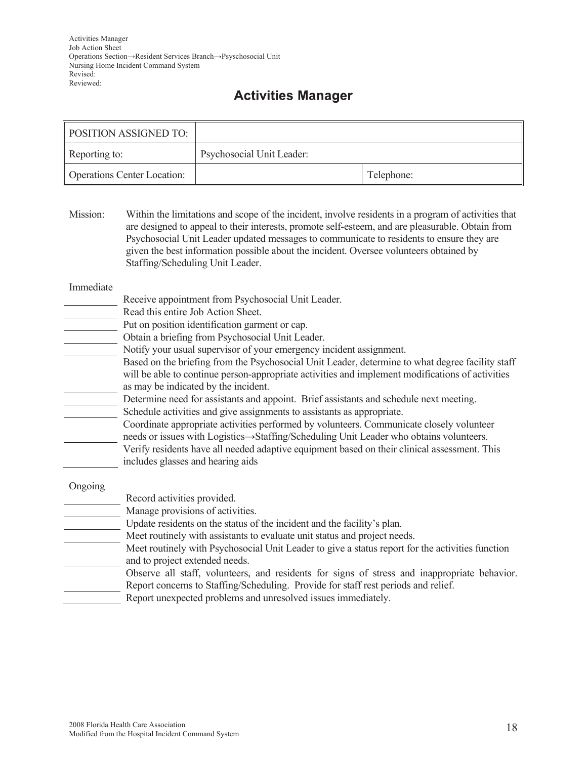## **Activities Manager**

| <b>POSITION ASSIGNED TO:</b>       |                           |            |
|------------------------------------|---------------------------|------------|
| Reporting to:                      | Psychosocial Unit Leader: |            |
| <b>Operations Center Location:</b> |                           | Telephone: |

Mission: Within the limitations and scope of the incident, involve residents in a program of activities that are designed to appeal to their interests, promote self-esteem, and are pleasurable. Obtain from Psychosocial Unit Leader updated messages to communicate to residents to ensure they are given the best information possible about the incident. Oversee volunteers obtained by Staffing/Scheduling Unit Leader.

Immediate

- Receive appointment from Psychosocial Unit Leader.
- Read this entire Job Action Sheet.
- Put on position identification garment or cap.
- Obtain a briefing from Psychosocial Unit Leader.
- Notify your usual supervisor of your emergency incident assignment.
- Based on the briefing from the Psychosocial Unit Leader, determine to what degree facility staff will be able to continue person-appropriate activities and implement modifications of activities as may be indicated by the incident.
- Determine need for assistants and appoint. Brief assistants and schedule next meeting. Schedule activities and give assignments to assistants as appropriate.
	- Coordinate appropriate activities performed by volunteers. Communicate closely volunteer needs or issues with Logistics  $\rightarrow$  Staffing/Scheduling Unit Leader who obtains volunteers.
	- Verify residents have all needed adaptive equipment based on their clinical assessment. This includes glasses and hearing aids

Ongoing

- Record activities provided.
- Manage provisions of activities.
- Update residents on the status of the incident and the facility's plan.
- Meet routinely with assistants to evaluate unit status and project needs.
- Meet routinely with Psychosocial Unit Leader to give a status report for the activities function and to project extended needs.
- Observe all staff, volunteers, and residents for signs of stress and inappropriate behavior. Report concerns to Staffing/Scheduling. Provide for staff rest periods and relief.
- Report unexpected problems and unresolved issues immediately.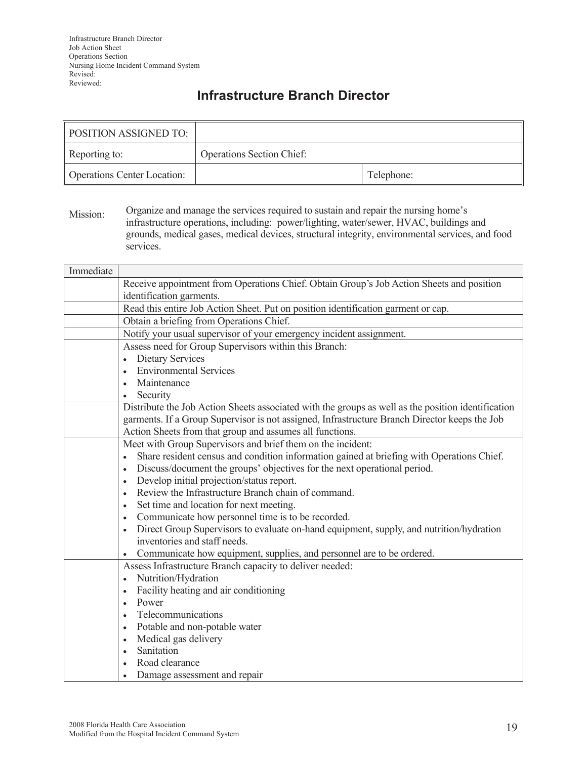## **Infrastructure Branch Director**

| POSITION ASSIGNED TO:              |                                  |            |
|------------------------------------|----------------------------------|------------|
| Reporting to:                      | <b>Operations Section Chief:</b> |            |
| <b>Operations Center Location:</b> |                                  | Telephone: |

Mission: Organize and manage the services required to sustain and repair the nursing home's infrastructure operations, including: power/lighting, water/sewer, HVAC, buildings and grounds, medical gases, medical devices, structural integrity, environmental services, and food services.

| Immediate |                                                                                                        |  |  |
|-----------|--------------------------------------------------------------------------------------------------------|--|--|
|           | Receive appointment from Operations Chief. Obtain Group's Job Action Sheets and position               |  |  |
|           | identification garments.                                                                               |  |  |
|           | Read this entire Job Action Sheet. Put on position identification garment or cap.                      |  |  |
|           | Obtain a briefing from Operations Chief.                                                               |  |  |
|           | Notify your usual supervisor of your emergency incident assignment.                                    |  |  |
|           | Assess need for Group Supervisors within this Branch:                                                  |  |  |
|           | <b>Dietary Services</b><br>$\bullet$                                                                   |  |  |
|           | <b>Environmental Services</b>                                                                          |  |  |
|           | Maintenance<br>$\bullet$                                                                               |  |  |
|           | Security<br>$\bullet$                                                                                  |  |  |
|           | Distribute the Job Action Sheets associated with the groups as well as the position identification     |  |  |
|           | garments. If a Group Supervisor is not assigned, Infrastructure Branch Director keeps the Job          |  |  |
|           | Action Sheets from that group and assumes all functions.                                               |  |  |
|           | Meet with Group Supervisors and brief them on the incident:                                            |  |  |
|           | Share resident census and condition information gained at briefing with Operations Chief.<br>$\bullet$ |  |  |
|           | Discuss/document the groups' objectives for the next operational period.<br>$\bullet$                  |  |  |
|           | Develop initial projection/status report.                                                              |  |  |
|           | Review the Infrastructure Branch chain of command.                                                     |  |  |
|           | Set time and location for next meeting.<br>$\bullet$                                                   |  |  |
|           | Communicate how personnel time is to be recorded.<br>$\bullet$                                         |  |  |
|           | Direct Group Supervisors to evaluate on-hand equipment, supply, and nutrition/hydration<br>$\bullet$   |  |  |
|           | inventories and staff needs.                                                                           |  |  |
|           | Communicate how equipment, supplies, and personnel are to be ordered.                                  |  |  |
|           | Assess Infrastructure Branch capacity to deliver needed:                                               |  |  |
|           | Nutrition/Hydration<br>$\bullet$                                                                       |  |  |
|           | Facility heating and air conditioning<br>$\bullet$                                                     |  |  |
|           | Power                                                                                                  |  |  |
|           | Telecommunications                                                                                     |  |  |
|           | Potable and non-potable water                                                                          |  |  |
|           | Medical gas delivery                                                                                   |  |  |
|           | Sanitation                                                                                             |  |  |
|           | Road clearance                                                                                         |  |  |
|           | Damage assessment and repair                                                                           |  |  |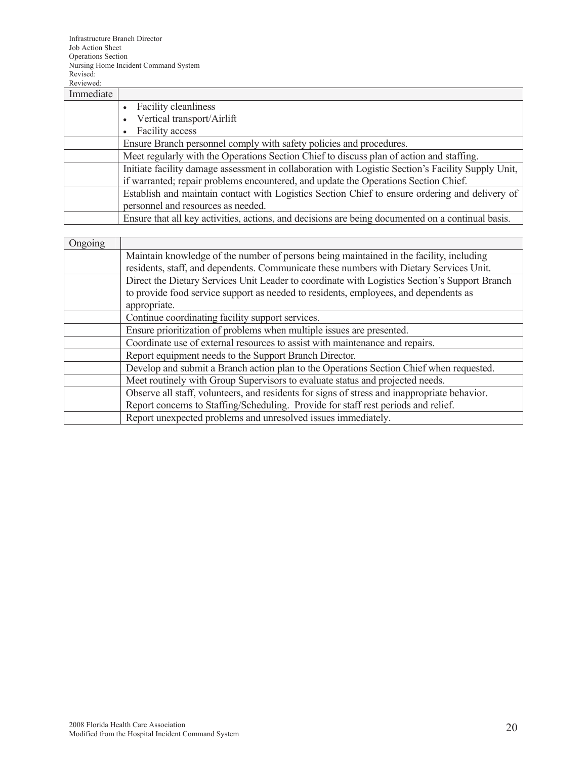| Immediate |                                                                                                    |  |
|-----------|----------------------------------------------------------------------------------------------------|--|
|           | <b>Facility cleanliness</b>                                                                        |  |
|           | Vertical transport/Airlift                                                                         |  |
|           | Facility access                                                                                    |  |
|           | Ensure Branch personnel comply with safety policies and procedures.                                |  |
|           | Meet regularly with the Operations Section Chief to discuss plan of action and staffing.           |  |
|           | Initiate facility damage assessment in collaboration with Logistic Section's Facility Supply Unit, |  |
|           | if warranted; repair problems encountered, and update the Operations Section Chief.                |  |
|           | Establish and maintain contact with Logistics Section Chief to ensure ordering and delivery of     |  |
|           | personnel and resources as needed.                                                                 |  |
|           | Ensure that all key activities, actions, and decisions are being documented on a continual basis.  |  |

| Ongoing |                                                                                               |
|---------|-----------------------------------------------------------------------------------------------|
|         | Maintain knowledge of the number of persons being maintained in the facility, including       |
|         | residents, staff, and dependents. Communicate these numbers with Dietary Services Unit.       |
|         | Direct the Dietary Services Unit Leader to coordinate with Logistics Section's Support Branch |
|         | to provide food service support as needed to residents, employees, and dependents as          |
|         | appropriate.                                                                                  |
|         | Continue coordinating facility support services.                                              |
|         | Ensure prioritization of problems when multiple issues are presented.                         |
|         | Coordinate use of external resources to assist with maintenance and repairs.                  |
|         | Report equipment needs to the Support Branch Director.                                        |
|         | Develop and submit a Branch action plan to the Operations Section Chief when requested.       |
|         | Meet routinely with Group Supervisors to evaluate status and projected needs.                 |
|         | Observe all staff, volunteers, and residents for signs of stress and inappropriate behavior.  |
|         | Report concerns to Staffing/Scheduling. Provide for staff rest periods and relief.            |
|         | Report unexpected problems and unresolved issues immediately.                                 |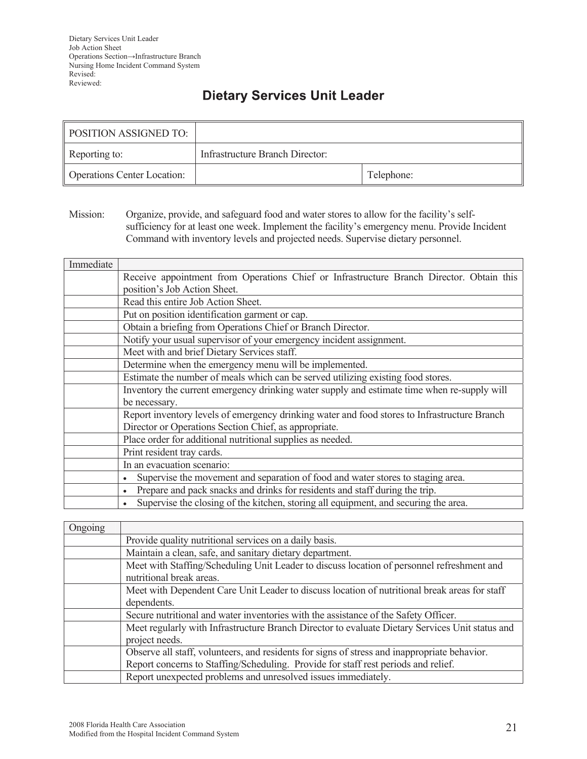## **Dietary Services Unit Leader**

| <b>POSITION ASSIGNED TO:</b>       |                                 |            |
|------------------------------------|---------------------------------|------------|
| Reporting to:                      | Infrastructure Branch Director: |            |
| <b>Operations Center Location:</b> |                                 | Telephone: |

Mission: Organize, provide, and safeguard food and water stores to allow for the facility's selfsufficiency for at least one week. Implement the facility's emergency menu. Provide Incident Command with inventory levels and projected needs. Supervise dietary personnel.

| Immediate |                                                                                              |  |
|-----------|----------------------------------------------------------------------------------------------|--|
|           | Receive appointment from Operations Chief or Infrastructure Branch Director. Obtain this     |  |
|           | position's Job Action Sheet.                                                                 |  |
|           | Read this entire Job Action Sheet.                                                           |  |
|           | Put on position identification garment or cap.                                               |  |
|           | Obtain a briefing from Operations Chief or Branch Director.                                  |  |
|           | Notify your usual supervisor of your emergency incident assignment.                          |  |
|           | Meet with and brief Dietary Services staff.                                                  |  |
|           | Determine when the emergency menu will be implemented.                                       |  |
|           | Estimate the number of meals which can be served utilizing existing food stores.             |  |
|           | Inventory the current emergency drinking water supply and estimate time when re-supply will  |  |
|           | be necessary.                                                                                |  |
|           | Report inventory levels of emergency drinking water and food stores to Infrastructure Branch |  |
|           | Director or Operations Section Chief, as appropriate.                                        |  |
|           | Place order for additional nutritional supplies as needed.                                   |  |
|           | Print resident tray cards.                                                                   |  |
|           | In an evacuation scenario:                                                                   |  |
|           | Supervise the movement and separation of food and water stores to staging area.              |  |
|           | Prepare and pack snacks and drinks for residents and staff during the trip.                  |  |
|           | Supervise the closing of the kitchen, storing all equipment, and securing the area.          |  |

| Ongoing |                                                                                                 |  |
|---------|-------------------------------------------------------------------------------------------------|--|
|         | Provide quality nutritional services on a daily basis.                                          |  |
|         | Maintain a clean, safe, and sanitary dietary department.                                        |  |
|         | Meet with Staffing/Scheduling Unit Leader to discuss location of personnel refreshment and      |  |
|         | nutritional break areas.                                                                        |  |
|         | Meet with Dependent Care Unit Leader to discuss location of nutritional break areas for staff   |  |
|         | dependents.                                                                                     |  |
|         | Secure nutritional and water inventories with the assistance of the Safety Officer.             |  |
|         | Meet regularly with Infrastructure Branch Director to evaluate Dietary Services Unit status and |  |
|         | project needs.                                                                                  |  |
|         | Observe all staff, volunteers, and residents for signs of stress and inappropriate behavior.    |  |
|         | Report concerns to Staffing/Scheduling. Provide for staff rest periods and relief.              |  |
|         | Report unexpected problems and unresolved issues immediately.                                   |  |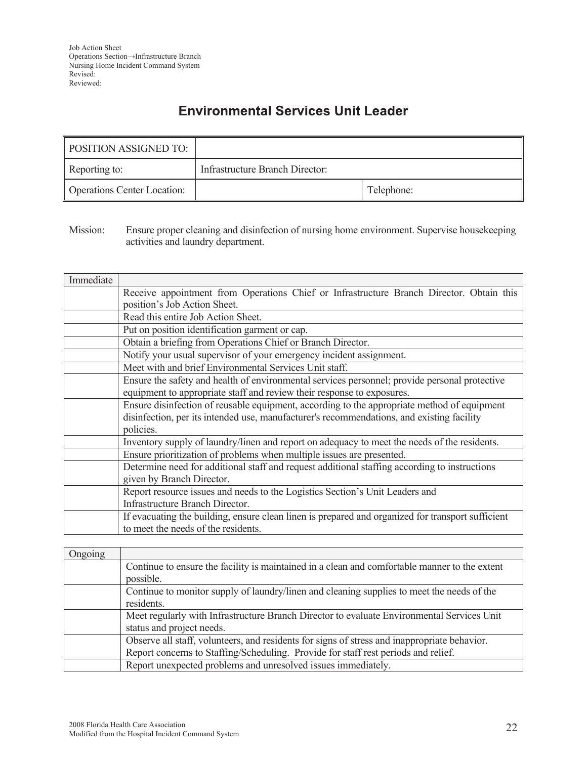## **Environmental Services Unit Leader**

| <b>POSITION ASSIGNED TO:</b>       |                                 |            |
|------------------------------------|---------------------------------|------------|
| Reporting to:                      | Infrastructure Branch Director: |            |
| <b>Operations Center Location:</b> |                                 | Telephone: |

Mission: Ensure proper cleaning and disinfection of nursing home environment. Supervise housekeeping activities and laundry department.

| Immediate |                                                                                                   |  |
|-----------|---------------------------------------------------------------------------------------------------|--|
|           | Receive appointment from Operations Chief or Infrastructure Branch Director. Obtain this          |  |
|           | position's Job Action Sheet.                                                                      |  |
|           | Read this entire Job Action Sheet.                                                                |  |
|           | Put on position identification garment or cap.                                                    |  |
|           | Obtain a briefing from Operations Chief or Branch Director.                                       |  |
|           | Notify your usual supervisor of your emergency incident assignment.                               |  |
|           | Meet with and brief Environmental Services Unit staff.                                            |  |
|           | Ensure the safety and health of environmental services personnel; provide personal protective     |  |
|           | equipment to appropriate staff and review their response to exposures.                            |  |
|           | Ensure disinfection of reusable equipment, according to the appropriate method of equipment       |  |
|           | disinfection, per its intended use, manufacturer's recommendations, and existing facility         |  |
|           | policies.                                                                                         |  |
|           | Inventory supply of laundry/linen and report on adequacy to meet the needs of the residents.      |  |
|           | Ensure prioritization of problems when multiple issues are presented.                             |  |
|           | Determine need for additional staff and request additional staffing according to instructions     |  |
|           | given by Branch Director.                                                                         |  |
|           | Report resource issues and needs to the Logistics Section's Unit Leaders and                      |  |
|           | Infrastructure Branch Director.                                                                   |  |
|           | If evacuating the building, ensure clean linen is prepared and organized for transport sufficient |  |
|           | to meet the needs of the residents.                                                               |  |

| Ongoing |                                                                                               |
|---------|-----------------------------------------------------------------------------------------------|
|         | Continue to ensure the facility is maintained in a clean and comfortable manner to the extent |
|         | possible.                                                                                     |
|         | Continue to monitor supply of laundry/linen and cleaning supplies to meet the needs of the    |
|         | residents.                                                                                    |
|         | Meet regularly with Infrastructure Branch Director to evaluate Environmental Services Unit    |
|         | status and project needs.                                                                     |
|         | Observe all staff, volunteers, and residents for signs of stress and inappropriate behavior.  |
|         | Report concerns to Staffing/Scheduling. Provide for staff rest periods and relief.            |
|         | Report unexpected problems and unresolved issues immediately.                                 |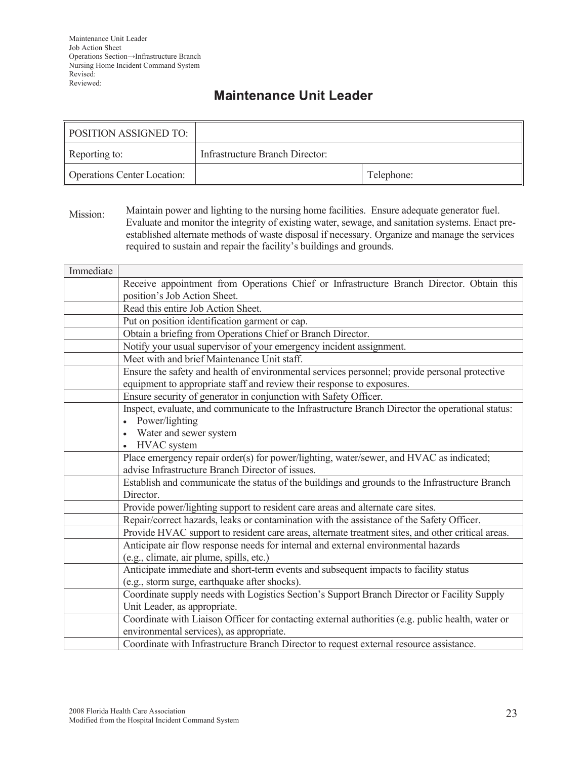## **Maintenance Unit Leader**

| <b>POSITION ASSIGNED TO:</b>       |                                 |            |
|------------------------------------|---------------------------------|------------|
| Reporting to:                      | Infrastructure Branch Director: |            |
| <b>Operations Center Location:</b> |                                 | Telephone: |

Mission: Maintain power and lighting to the nursing home facilities. Ensure adequate generator fuel. Evaluate and monitor the integrity of existing water, sewage, and sanitation systems. Enact preestablished alternate methods of waste disposal if necessary. Organize and manage the services required to sustain and repair the facility's buildings and grounds.

| Immediate |                                                                                                   |  |  |
|-----------|---------------------------------------------------------------------------------------------------|--|--|
|           | Receive appointment from Operations Chief or Infrastructure Branch Director. Obtain this          |  |  |
|           | position's Job Action Sheet.                                                                      |  |  |
|           | Read this entire Job Action Sheet.                                                                |  |  |
|           | Put on position identification garment or cap.                                                    |  |  |
|           | Obtain a briefing from Operations Chief or Branch Director.                                       |  |  |
|           | Notify your usual supervisor of your emergency incident assignment.                               |  |  |
|           | Meet with and brief Maintenance Unit staff.                                                       |  |  |
|           | Ensure the safety and health of environmental services personnel; provide personal protective     |  |  |
|           | equipment to appropriate staff and review their response to exposures.                            |  |  |
|           | Ensure security of generator in conjunction with Safety Officer.                                  |  |  |
|           | Inspect, evaluate, and communicate to the Infrastructure Branch Director the operational status:  |  |  |
|           | Power/lighting<br>$\bullet$                                                                       |  |  |
|           | • Water and sewer system                                                                          |  |  |
|           | • HVAC system                                                                                     |  |  |
|           | Place emergency repair order(s) for power/lighting, water/sewer, and HVAC as indicated;           |  |  |
|           | advise Infrastructure Branch Director of issues.                                                  |  |  |
|           | Establish and communicate the status of the buildings and grounds to the Infrastructure Branch    |  |  |
|           | Director.                                                                                         |  |  |
|           | Provide power/lighting support to resident care areas and alternate care sites.                   |  |  |
|           | Repair/correct hazards, leaks or contamination with the assistance of the Safety Officer.         |  |  |
|           | Provide HVAC support to resident care areas, alternate treatment sites, and other critical areas. |  |  |
|           | Anticipate air flow response needs for internal and external environmental hazards                |  |  |
|           | (e.g., climate, air plume, spills, etc.)                                                          |  |  |
|           | Anticipate immediate and short-term events and subsequent impacts to facility status              |  |  |
|           | (e.g., storm surge, earthquake after shocks).                                                     |  |  |
|           | Coordinate supply needs with Logistics Section's Support Branch Director or Facility Supply       |  |  |
|           | Unit Leader, as appropriate.                                                                      |  |  |
|           | Coordinate with Liaison Officer for contacting external authorities (e.g. public health, water or |  |  |
|           | environmental services), as appropriate.                                                          |  |  |
|           | Coordinate with Infrastructure Branch Director to request external resource assistance.           |  |  |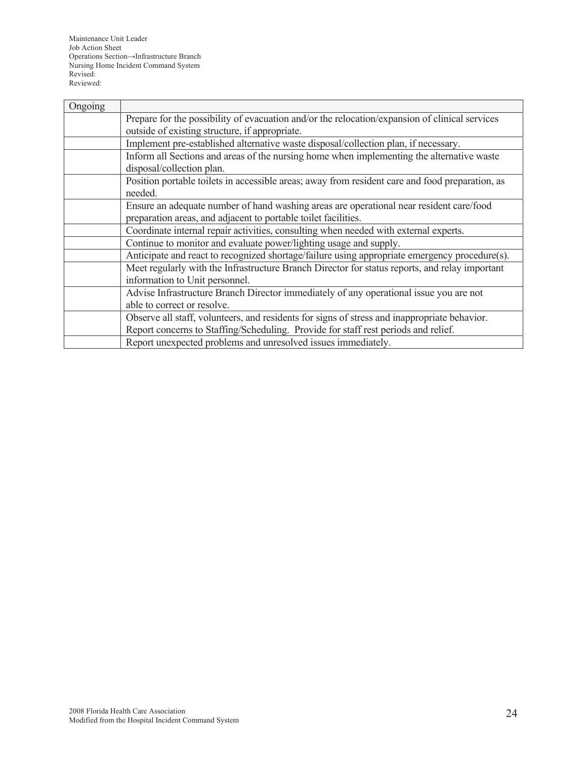| Ongoing |                                                                                                 |  |
|---------|-------------------------------------------------------------------------------------------------|--|
|         | Prepare for the possibility of evacuation and/or the relocation/expansion of clinical services  |  |
|         | outside of existing structure, if appropriate.                                                  |  |
|         | Implement pre-established alternative waste disposal/collection plan, if necessary.             |  |
|         | Inform all Sections and areas of the nursing home when implementing the alternative waste       |  |
|         | disposal/collection plan.                                                                       |  |
|         | Position portable toilets in accessible areas; away from resident care and food preparation, as |  |
|         | needed.                                                                                         |  |
|         | Ensure an adequate number of hand washing areas are operational near resident care/food         |  |
|         | preparation areas, and adjacent to portable toilet facilities.                                  |  |
|         | Coordinate internal repair activities, consulting when needed with external experts.            |  |
|         | Continue to monitor and evaluate power/lighting usage and supply.                               |  |
|         | Anticipate and react to recognized shortage/failure using appropriate emergency procedure(s).   |  |
|         | Meet regularly with the Infrastructure Branch Director for status reports, and relay important  |  |
|         | information to Unit personnel.                                                                  |  |
|         | Advise Infrastructure Branch Director immediately of any operational issue you are not          |  |
|         | able to correct or resolve.                                                                     |  |
|         | Observe all staff, volunteers, and residents for signs of stress and inappropriate behavior.    |  |
|         | Report concerns to Staffing/Scheduling. Provide for staff rest periods and relief.              |  |
|         | Report unexpected problems and unresolved issues immediately.                                   |  |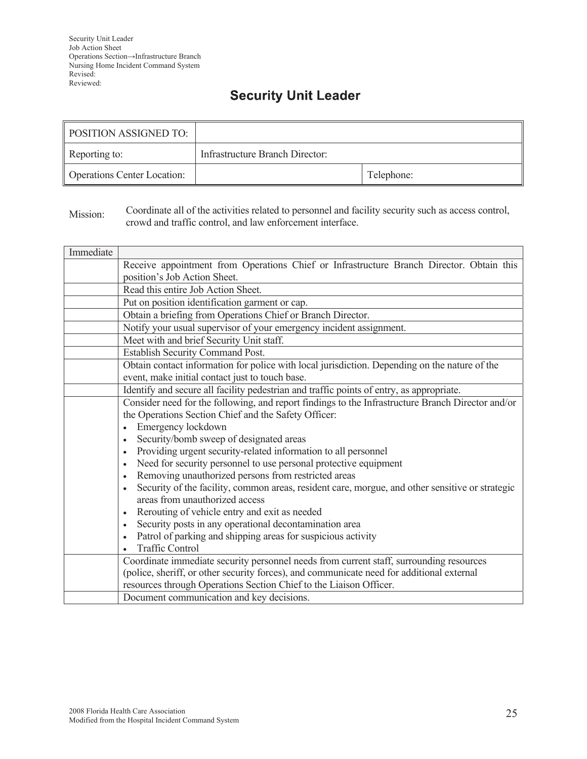## **Security Unit Leader**

| POSITION ASSIGNED TO:              |                                 |            |
|------------------------------------|---------------------------------|------------|
| Reporting to:                      | Infrastructure Branch Director: |            |
| <b>Operations Center Location:</b> |                                 | Telephone: |

Mission: Coordinate all of the activities related to personnel and facility security such as access control, crowd and traffic control, and law enforcement interface.

| Immediate |                                                                                                              |  |  |
|-----------|--------------------------------------------------------------------------------------------------------------|--|--|
|           | Receive appointment from Operations Chief or Infrastructure Branch Director. Obtain this                     |  |  |
|           | position's Job Action Sheet.                                                                                 |  |  |
|           | Read this entire Job Action Sheet.                                                                           |  |  |
|           | Put on position identification garment or cap.                                                               |  |  |
|           | Obtain a briefing from Operations Chief or Branch Director.                                                  |  |  |
|           | Notify your usual supervisor of your emergency incident assignment.                                          |  |  |
|           | Meet with and brief Security Unit staff.                                                                     |  |  |
|           | <b>Establish Security Command Post.</b>                                                                      |  |  |
|           | Obtain contact information for police with local jurisdiction. Depending on the nature of the                |  |  |
|           | event, make initial contact just to touch base.                                                              |  |  |
|           | Identify and secure all facility pedestrian and traffic points of entry, as appropriate.                     |  |  |
|           | Consider need for the following, and report findings to the Infrastructure Branch Director and/or            |  |  |
|           | the Operations Section Chief and the Safety Officer:                                                         |  |  |
|           | Emergency lockdown<br>$\bullet$                                                                              |  |  |
|           | Security/bomb sweep of designated areas<br>$\bullet$                                                         |  |  |
|           | Providing urgent security-related information to all personnel<br>$\bullet$                                  |  |  |
|           | Need for security personnel to use personal protective equipment<br>$\bullet$                                |  |  |
|           | Removing unauthorized persons from restricted areas<br>$\bullet$                                             |  |  |
|           | Security of the facility, common areas, resident care, morgue, and other sensitive or strategic<br>$\bullet$ |  |  |
|           | areas from unauthorized access                                                                               |  |  |
|           | Rerouting of vehicle entry and exit as needed<br>$\bullet$                                                   |  |  |
|           | Security posts in any operational decontamination area<br>$\bullet$                                          |  |  |
|           | Patrol of parking and shipping areas for suspicious activity<br>$\bullet$                                    |  |  |
|           | <b>Traffic Control</b>                                                                                       |  |  |
|           | Coordinate immediate security personnel needs from current staff, surrounding resources                      |  |  |
|           | (police, sheriff, or other security forces), and communicate need for additional external                    |  |  |
|           | resources through Operations Section Chief to the Liaison Officer.                                           |  |  |
|           | Document communication and key decisions.                                                                    |  |  |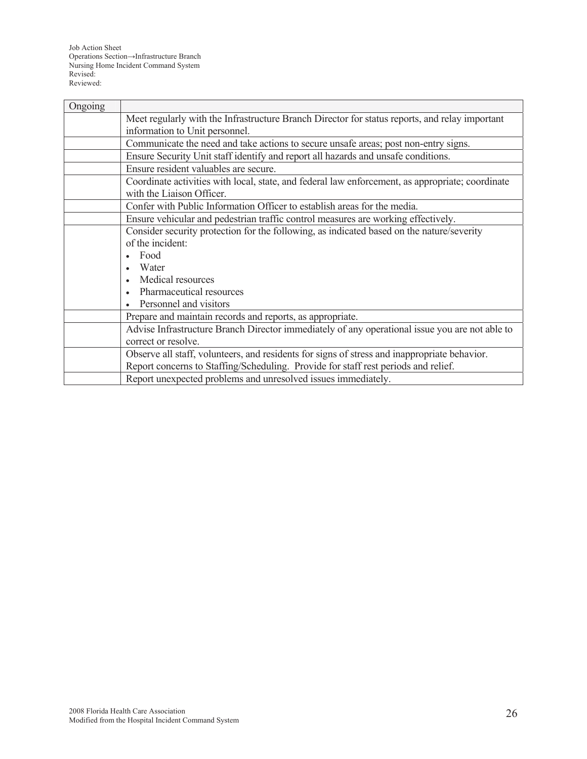Job Action Sheet Operations Section→Infrastructure Branch Nursing Home Incident Command System Revised: Reviewed:

| Ongoing |                                                                                                  |  |
|---------|--------------------------------------------------------------------------------------------------|--|
|         | Meet regularly with the Infrastructure Branch Director for status reports, and relay important   |  |
|         | information to Unit personnel.                                                                   |  |
|         | Communicate the need and take actions to secure unsafe areas; post non-entry signs.              |  |
|         | Ensure Security Unit staff identify and report all hazards and unsafe conditions.                |  |
|         | Ensure resident valuables are secure.                                                            |  |
|         | Coordinate activities with local, state, and federal law enforcement, as appropriate; coordinate |  |
|         | with the Liaison Officer.                                                                        |  |
|         | Confer with Public Information Officer to establish areas for the media.                         |  |
|         | Ensure vehicular and pedestrian traffic control measures are working effectively.                |  |
|         | Consider security protection for the following, as indicated based on the nature/severity        |  |
|         | of the incident:                                                                                 |  |
|         | Food                                                                                             |  |
|         | Water                                                                                            |  |
|         | Medical resources                                                                                |  |
|         | Pharmaceutical resources                                                                         |  |
|         | Personnel and visitors                                                                           |  |
|         | Prepare and maintain records and reports, as appropriate.                                        |  |
|         | Advise Infrastructure Branch Director immediately of any operational issue you are not able to   |  |
|         | correct or resolve.                                                                              |  |
|         | Observe all staff, volunteers, and residents for signs of stress and inappropriate behavior.     |  |
|         | Report concerns to Staffing/Scheduling. Provide for staff rest periods and relief.               |  |
|         | Report unexpected problems and unresolved issues immediately.                                    |  |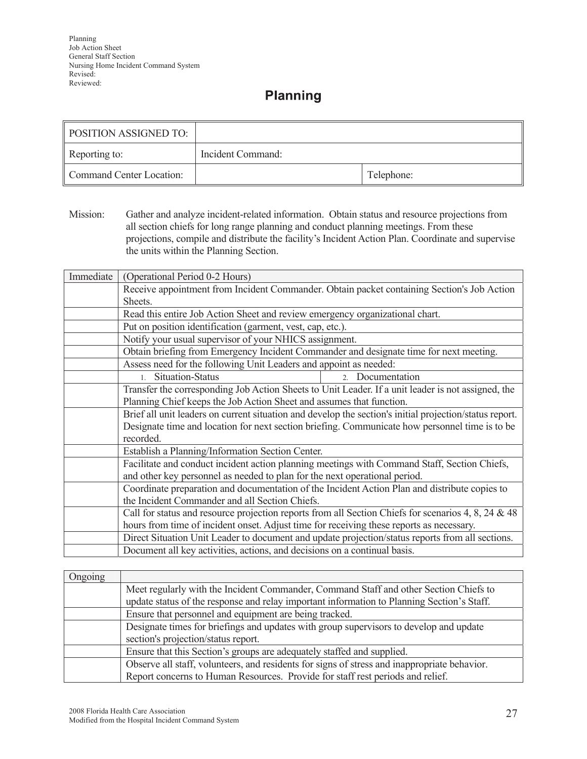### **Planning**

| <b>POSITION ASSIGNED TO:</b> |                   |            |
|------------------------------|-------------------|------------|
| Reporting to:                | Incident Command: |            |
| Command Center Location:     |                   | Telephone: |

Mission: Gather and analyze incident-related information. Obtain status and resource projections from all section chiefs for long range planning and conduct planning meetings. From these projections, compile and distribute the facility's Incident Action Plan. Coordinate and supervise the units within the Planning Section.

| Immediate | (Operational Period 0-2 Hours)                                                                          |  |  |
|-----------|---------------------------------------------------------------------------------------------------------|--|--|
|           | Receive appointment from Incident Commander. Obtain packet containing Section's Job Action              |  |  |
|           | Sheets.                                                                                                 |  |  |
|           | Read this entire Job Action Sheet and review emergency organizational chart.                            |  |  |
|           | Put on position identification (garment, vest, cap, etc.).                                              |  |  |
|           | Notify your usual supervisor of your NHICS assignment.                                                  |  |  |
|           | Obtain briefing from Emergency Incident Commander and designate time for next meeting.                  |  |  |
|           | Assess need for the following Unit Leaders and appoint as needed:                                       |  |  |
|           | Situation-Status<br>Documentation<br>1<br>2 <sup>1</sup>                                                |  |  |
|           | Transfer the corresponding Job Action Sheets to Unit Leader. If a unit leader is not assigned, the      |  |  |
|           | Planning Chief keeps the Job Action Sheet and assumes that function.                                    |  |  |
|           | Brief all unit leaders on current situation and develop the section's initial projection/status report. |  |  |
|           | Designate time and location for next section briefing. Communicate how personnel time is to be          |  |  |
|           | recorded.                                                                                               |  |  |
|           | Establish a Planning/Information Section Center.                                                        |  |  |
|           | Facilitate and conduct incident action planning meetings with Command Staff, Section Chiefs,            |  |  |
|           | and other key personnel as needed to plan for the next operational period.                              |  |  |
|           | Coordinate preparation and documentation of the Incident Action Plan and distribute copies to           |  |  |
|           | the Incident Commander and all Section Chiefs.                                                          |  |  |
|           | Call for status and resource projection reports from all Section Chiefs for scenarios 4, 8, 24 & 48     |  |  |
|           | hours from time of incident onset. Adjust time for receiving these reports as necessary.                |  |  |
|           | Direct Situation Unit Leader to document and update projection/status reports from all sections.        |  |  |
|           | Document all key activities, actions, and decisions on a continual basis.                               |  |  |

| Ongoing |                                                                                              |  |
|---------|----------------------------------------------------------------------------------------------|--|
|         | Meet regularly with the Incident Commander, Command Staff and other Section Chiefs to        |  |
|         | update status of the response and relay important information to Planning Section's Staff.   |  |
|         | Ensure that personnel and equipment are being tracked.                                       |  |
|         | Designate times for briefings and updates with group supervisors to develop and update       |  |
|         | section's projection/status report.                                                          |  |
|         | Ensure that this Section's groups are adequately staffed and supplied.                       |  |
|         | Observe all staff, volunteers, and residents for signs of stress and inappropriate behavior. |  |
|         | Report concerns to Human Resources. Provide for staff rest periods and relief.               |  |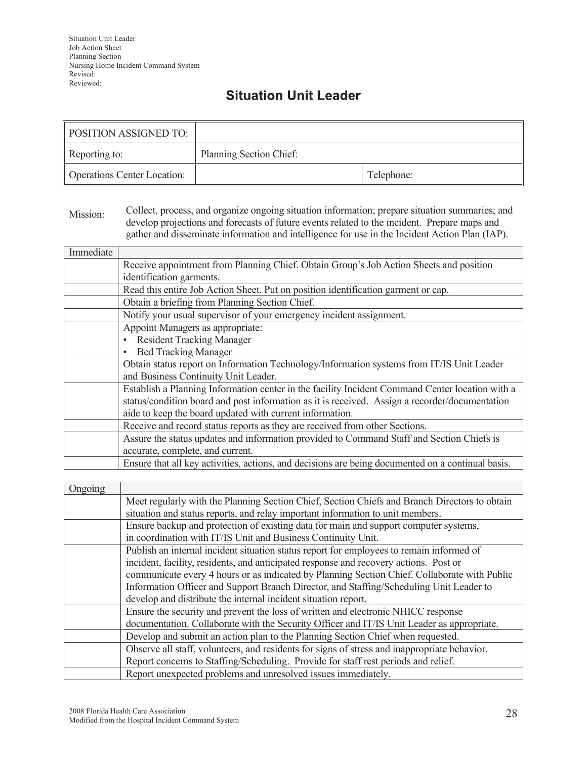## **Situation Unit Leader**

| <b>POSITION ASSIGNED TO:</b>       |                         |            |
|------------------------------------|-------------------------|------------|
| Reporting to:                      | Planning Section Chief: |            |
| <b>Operations Center Location:</b> |                         | Telephone: |

#### Mission: Collect, process, and organize ongoing situation information; prepare situation summaries; and develop projections and forecasts of future events related to the incident. Prepare maps and gather and disseminate information and intelligence for use in the Incident Action Plan (IAP).

| Immediate |                                                                                                   |  |
|-----------|---------------------------------------------------------------------------------------------------|--|
|           | Receive appointment from Planning Chief. Obtain Group's Job Action Sheets and position            |  |
|           | identification garments.                                                                          |  |
|           | Read this entire Job Action Sheet. Put on position identification garment or cap.                 |  |
|           | Obtain a briefing from Planning Section Chief.                                                    |  |
|           | Notify your usual supervisor of your emergency incident assignment.                               |  |
|           | Appoint Managers as appropriate:                                                                  |  |
|           | <b>Resident Tracking Manager</b>                                                                  |  |
|           | <b>Bed Tracking Manager</b>                                                                       |  |
|           | Obtain status report on Information Technology/Information systems from IT/IS Unit Leader         |  |
|           | and Business Continuity Unit Leader.                                                              |  |
|           | Establish a Planning Information center in the facility Incident Command Center location with a   |  |
|           | status/condition board and post information as it is received. Assign a recorder/documentation    |  |
|           | aide to keep the board updated with current information.                                          |  |
|           | Receive and record status reports as they are received from other Sections.                       |  |
|           | Assure the status updates and information provided to Command Staff and Section Chiefs is         |  |
|           | accurate, complete, and current.                                                                  |  |
|           | Ensure that all key activities, actions, and decisions are being documented on a continual basis. |  |

| Ongoing |                                                                                               |
|---------|-----------------------------------------------------------------------------------------------|
|         | Meet regularly with the Planning Section Chief, Section Chiefs and Branch Directors to obtain |
|         | situation and status reports, and relay important information to unit members.                |
|         | Ensure backup and protection of existing data for main and support computer systems,          |
|         | in coordination with IT/IS Unit and Business Continuity Unit.                                 |
|         | Publish an internal incident situation status report for employees to remain informed of      |
|         | incident, facility, residents, and anticipated response and recovery actions. Post or         |
|         | communicate every 4 hours or as indicated by Planning Section Chief. Collaborate with Public  |
|         | Information Officer and Support Branch Director, and Staffing/Scheduling Unit Leader to       |
|         | develop and distribute the internal incident situation report.                                |
|         | Ensure the security and prevent the loss of written and electronic NHICC response             |
|         | documentation. Collaborate with the Security Officer and IT/IS Unit Leader as appropriate.    |
|         | Develop and submit an action plan to the Planning Section Chief when requested.               |
|         | Observe all staff, volunteers, and residents for signs of stress and inappropriate behavior.  |
|         | Report concerns to Staffing/Scheduling. Provide for staff rest periods and relief.            |
|         | Report unexpected problems and unresolved issues immediately.                                 |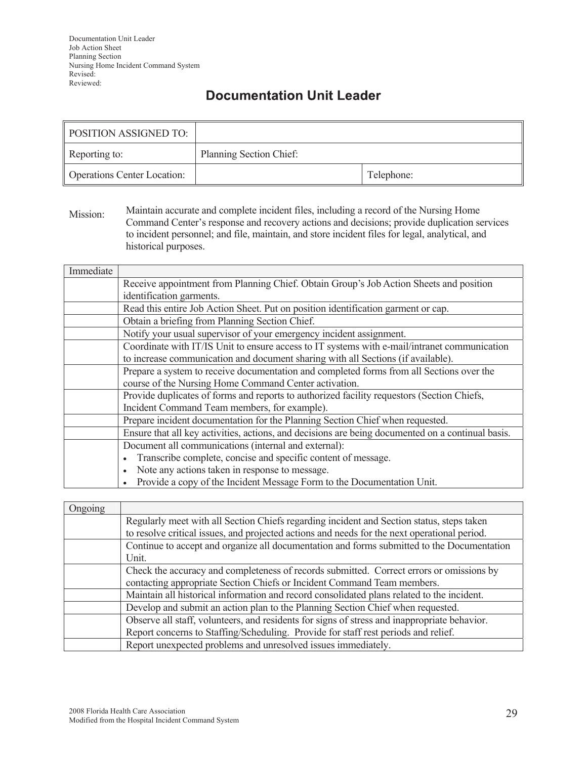## **Documentation Unit Leader**

| <b>POSITION ASSIGNED TO:</b>       |                         |            |
|------------------------------------|-------------------------|------------|
| Reporting to:                      | Planning Section Chief: |            |
| <b>Operations Center Location:</b> |                         | Telephone: |

Mission: Maintain accurate and complete incident files, including a record of the Nursing Home Command Center's response and recovery actions and decisions; provide duplication services to incident personnel; and file, maintain, and store incident files for legal, analytical, and historical purposes.

| Immediate |                                                                                                   |  |
|-----------|---------------------------------------------------------------------------------------------------|--|
|           | Receive appointment from Planning Chief. Obtain Group's Job Action Sheets and position            |  |
|           | identification garments.                                                                          |  |
|           | Read this entire Job Action Sheet. Put on position identification garment or cap.                 |  |
|           | Obtain a briefing from Planning Section Chief.                                                    |  |
|           | Notify your usual supervisor of your emergency incident assignment.                               |  |
|           | Coordinate with IT/IS Unit to ensure access to IT systems with e-mail/intranet communication      |  |
|           | to increase communication and document sharing with all Sections (if available).                  |  |
|           | Prepare a system to receive documentation and completed forms from all Sections over the          |  |
|           | course of the Nursing Home Command Center activation.                                             |  |
|           | Provide duplicates of forms and reports to authorized facility requestors (Section Chiefs,        |  |
|           | Incident Command Team members, for example).                                                      |  |
|           | Prepare incident documentation for the Planning Section Chief when requested.                     |  |
|           | Ensure that all key activities, actions, and decisions are being documented on a continual basis. |  |
|           | Document all communications (internal and external):                                              |  |
|           | Transcribe complete, concise and specific content of message.                                     |  |
|           | Note any actions taken in response to message.                                                    |  |
|           | Provide a copy of the Incident Message Form to the Documentation Unit.                            |  |

| Ongoing |                                                                                              |  |
|---------|----------------------------------------------------------------------------------------------|--|
|         | Regularly meet with all Section Chiefs regarding incident and Section status, steps taken    |  |
|         | to resolve critical issues, and projected actions and needs for the next operational period. |  |
|         | Continue to accept and organize all documentation and forms submitted to the Documentation   |  |
|         | Unit.                                                                                        |  |
|         | Check the accuracy and completeness of records submitted. Correct errors or omissions by     |  |
|         | contacting appropriate Section Chiefs or Incident Command Team members.                      |  |
|         | Maintain all historical information and record consolidated plans related to the incident.   |  |
|         | Develop and submit an action plan to the Planning Section Chief when requested.              |  |
|         | Observe all staff, volunteers, and residents for signs of stress and inappropriate behavior. |  |
|         | Report concerns to Staffing/Scheduling. Provide for staff rest periods and relief.           |  |
|         | Report unexpected problems and unresolved issues immediately.                                |  |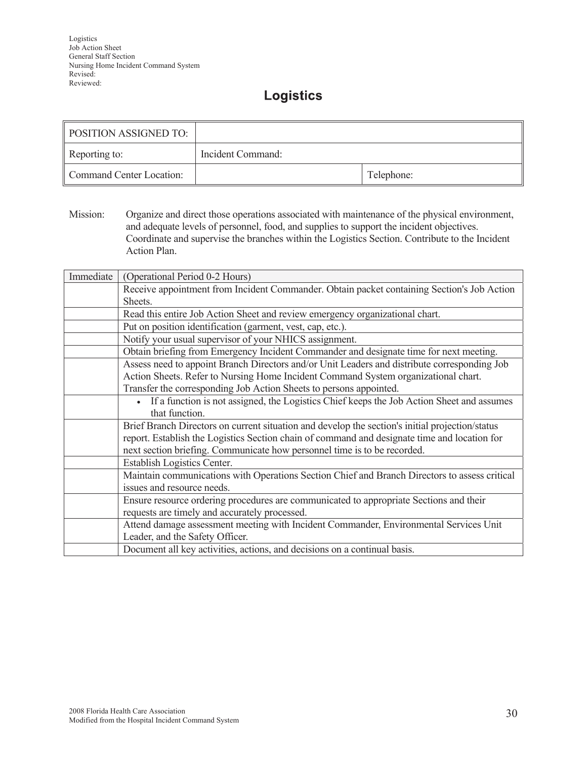#### **Logistics**

| <b>POSITION ASSIGNED TO:</b> |                   |            |
|------------------------------|-------------------|------------|
| Reporting to:                | Incident Command: |            |
| Command Center Location:     |                   | Telephone: |

Mission: Organize and direct those operations associated with maintenance of the physical environment, and adequate levels of personnel, food, and supplies to support the incident objectives. Coordinate and supervise the branches within the Logistics Section. Contribute to the Incident Action Plan.

| Immediate | (Operational Period 0-2 Hours)                                                                  |  |
|-----------|-------------------------------------------------------------------------------------------------|--|
|           | Receive appointment from Incident Commander. Obtain packet containing Section's Job Action      |  |
|           | Sheets.                                                                                         |  |
|           | Read this entire Job Action Sheet and review emergency organizational chart.                    |  |
|           | Put on position identification (garment, vest, cap, etc.).                                      |  |
|           | Notify your usual supervisor of your NHICS assignment.                                          |  |
|           | Obtain briefing from Emergency Incident Commander and designate time for next meeting.          |  |
|           | Assess need to appoint Branch Directors and/or Unit Leaders and distribute corresponding Job    |  |
|           | Action Sheets. Refer to Nursing Home Incident Command System organizational chart.              |  |
|           | Transfer the corresponding Job Action Sheets to persons appointed.                              |  |
|           | If a function is not assigned, the Logistics Chief keeps the Job Action Sheet and assumes       |  |
|           | that function.                                                                                  |  |
|           | Brief Branch Directors on current situation and develop the section's initial projection/status |  |
|           | report. Establish the Logistics Section chain of command and designate time and location for    |  |
|           | next section briefing. Communicate how personnel time is to be recorded.                        |  |
|           | Establish Logistics Center.                                                                     |  |
|           | Maintain communications with Operations Section Chief and Branch Directors to assess critical   |  |
|           | issues and resource needs.                                                                      |  |
|           | Ensure resource ordering procedures are communicated to appropriate Sections and their          |  |
|           | requests are timely and accurately processed.                                                   |  |
|           | Attend damage assessment meeting with Incident Commander, Environmental Services Unit           |  |
|           | Leader, and the Safety Officer.                                                                 |  |
|           | Document all key activities, actions, and decisions on a continual basis.                       |  |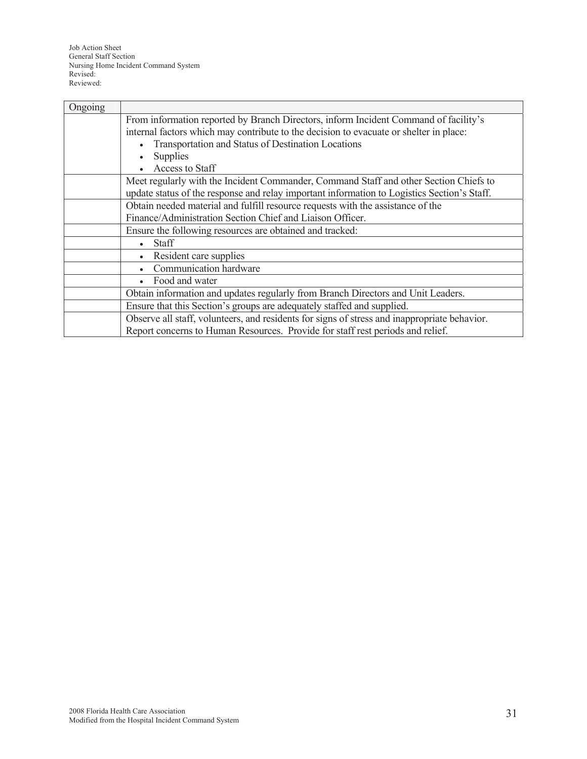| Ongoing |                                                                                              |  |
|---------|----------------------------------------------------------------------------------------------|--|
|         | From information reported by Branch Directors, inform Incident Command of facility's         |  |
|         | internal factors which may contribute to the decision to evacuate or shelter in place:       |  |
|         | Transportation and Status of Destination Locations                                           |  |
|         | <b>Supplies</b>                                                                              |  |
|         | Access to Staff                                                                              |  |
|         | Meet regularly with the Incident Commander, Command Staff and other Section Chiefs to        |  |
|         | update status of the response and relay important information to Logistics Section's Staff.  |  |
|         | Obtain needed material and fulfill resource requests with the assistance of the              |  |
|         | Finance/Administration Section Chief and Liaison Officer.                                    |  |
|         | Ensure the following resources are obtained and tracked:                                     |  |
|         | <b>Staff</b>                                                                                 |  |
|         | Resident care supplies                                                                       |  |
|         | Communication hardware                                                                       |  |
|         | Food and water                                                                               |  |
|         | Obtain information and updates regularly from Branch Directors and Unit Leaders.             |  |
|         | Ensure that this Section's groups are adequately staffed and supplied.                       |  |
|         | Observe all staff, volunteers, and residents for signs of stress and inappropriate behavior. |  |
|         | Report concerns to Human Resources. Provide for staff rest periods and relief.               |  |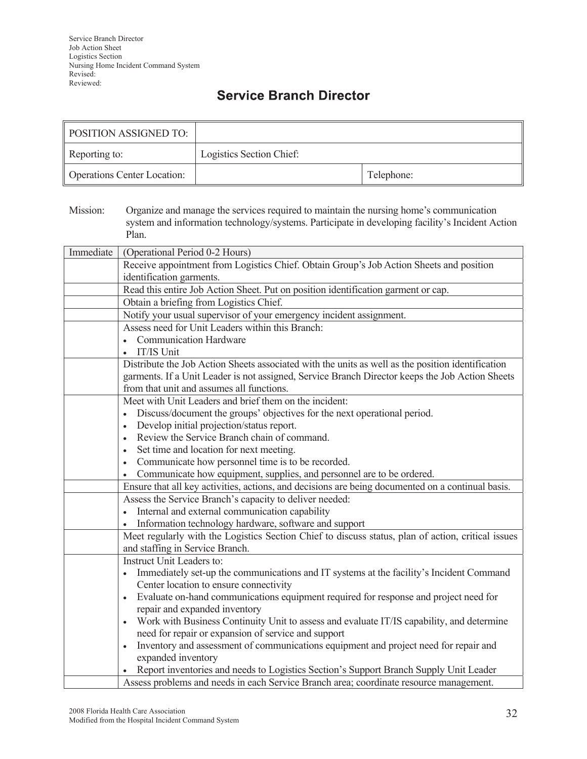## **Service Branch Director**

| <b>POSITION ASSIGNED TO:</b>       |                          |            |
|------------------------------------|--------------------------|------------|
| Reporting to:                      | Logistics Section Chief: |            |
| <b>Operations Center Location:</b> |                          | Telephone: |

Mission: Organize and manage the services required to maintain the nursing home's communication system and information technology/systems. Participate in developing facility's Incident Action Plan.

| Immediate | (Operational Period 0-2 Hours)                                                                                                                 |  |
|-----------|------------------------------------------------------------------------------------------------------------------------------------------------|--|
|           | Receive appointment from Logistics Chief. Obtain Group's Job Action Sheets and position                                                        |  |
|           | identification garments.                                                                                                                       |  |
|           | Read this entire Job Action Sheet. Put on position identification garment or cap.                                                              |  |
|           | Obtain a briefing from Logistics Chief.                                                                                                        |  |
|           | Notify your usual supervisor of your emergency incident assignment.                                                                            |  |
|           | Assess need for Unit Leaders within this Branch:                                                                                               |  |
|           | <b>Communication Hardware</b>                                                                                                                  |  |
|           | IT/IS Unit<br>$\bullet$                                                                                                                        |  |
|           | Distribute the Job Action Sheets associated with the units as well as the position identification                                              |  |
|           | garments. If a Unit Leader is not assigned, Service Branch Director keeps the Job Action Sheets                                                |  |
|           | from that unit and assumes all functions.                                                                                                      |  |
|           | Meet with Unit Leaders and brief them on the incident:                                                                                         |  |
|           | Discuss/document the groups' objectives for the next operational period.<br>$\bullet$                                                          |  |
|           | Develop initial projection/status report.<br>$\bullet$                                                                                         |  |
|           | Review the Service Branch chain of command.<br>$\bullet$                                                                                       |  |
|           | Set time and location for next meeting.<br>$\bullet$                                                                                           |  |
|           | Communicate how personnel time is to be recorded.<br>$\bullet$                                                                                 |  |
|           | Communicate how equipment, supplies, and personnel are to be ordered.                                                                          |  |
|           | Ensure that all key activities, actions, and decisions are being documented on a continual basis.                                              |  |
|           | Assess the Service Branch's capacity to deliver needed:                                                                                        |  |
|           | Internal and external communication capability                                                                                                 |  |
|           | Information technology hardware, software and support                                                                                          |  |
|           | Meet regularly with the Logistics Section Chief to discuss status, plan of action, critical issues                                             |  |
|           | and staffing in Service Branch.<br>Instruct Unit Leaders to:                                                                                   |  |
|           |                                                                                                                                                |  |
|           | Immediately set-up the communications and IT systems at the facility's Incident Command<br>$\bullet$<br>Center location to ensure connectivity |  |
|           | Evaluate on-hand communications equipment required for response and project need for                                                           |  |
|           | repair and expanded inventory                                                                                                                  |  |
|           | Work with Business Continuity Unit to assess and evaluate IT/IS capability, and determine                                                      |  |
|           | need for repair or expansion of service and support                                                                                            |  |
|           | Inventory and assessment of communications equipment and project need for repair and<br>$\bullet$                                              |  |
|           | expanded inventory                                                                                                                             |  |
|           | Report inventories and needs to Logistics Section's Support Branch Supply Unit Leader                                                          |  |
|           | Assess problems and needs in each Service Branch area; coordinate resource management.                                                         |  |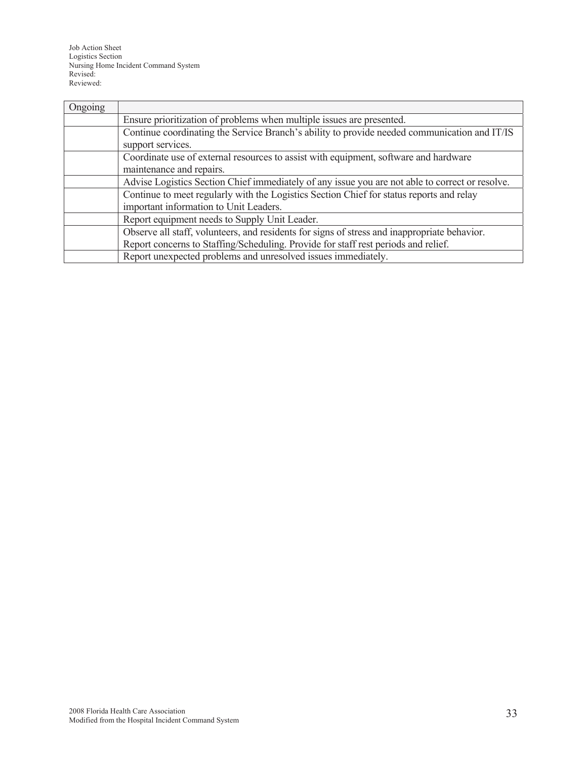Job Action Sheet Logistics Section Nursing Home Incident Command System Revised: Reviewed:

| Ongoing |                                                                                                 |  |
|---------|-------------------------------------------------------------------------------------------------|--|
|         | Ensure prioritization of problems when multiple issues are presented.                           |  |
|         | Continue coordinating the Service Branch's ability to provide needed communication and IT/IS    |  |
|         | support services.                                                                               |  |
|         | Coordinate use of external resources to assist with equipment, software and hardware            |  |
|         | maintenance and repairs.                                                                        |  |
|         | Advise Logistics Section Chief immediately of any issue you are not able to correct or resolve. |  |
|         | Continue to meet regularly with the Logistics Section Chief for status reports and relay        |  |
|         | important information to Unit Leaders.                                                          |  |
|         | Report equipment needs to Supply Unit Leader.                                                   |  |
|         | Observe all staff, volunteers, and residents for signs of stress and inappropriate behavior.    |  |
|         | Report concerns to Staffing/Scheduling. Provide for staff rest periods and relief.              |  |
|         | Report unexpected problems and unresolved issues immediately.                                   |  |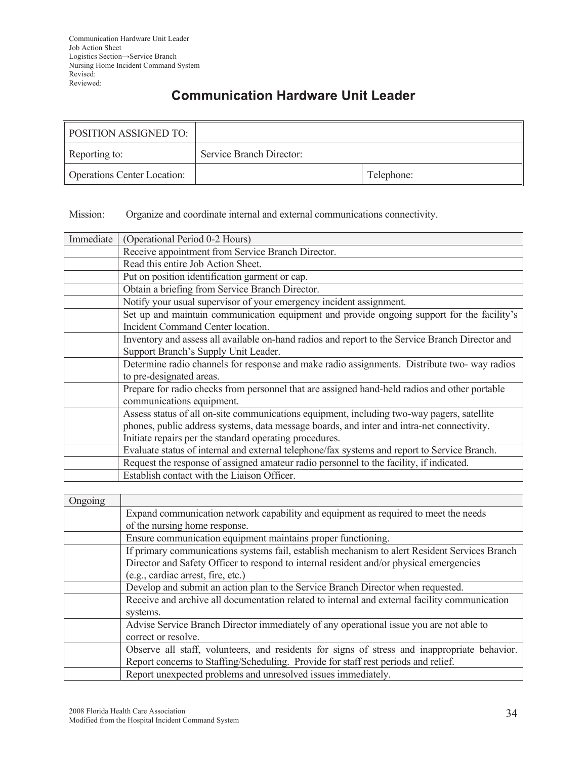## **Communication Hardware Unit Leader**

| POSITION ASSIGNED TO:              |                          |            |
|------------------------------------|--------------------------|------------|
| Reporting to:                      | Service Branch Director: |            |
| <b>Operations Center Location:</b> |                          | Telephone: |

Mission: Organize and coordinate internal and external communications connectivity.

| Immediate | (Operational Period 0-2 Hours)                                                                  |  |
|-----------|-------------------------------------------------------------------------------------------------|--|
|           | Receive appointment from Service Branch Director.                                               |  |
|           | Read this entire Job Action Sheet.                                                              |  |
|           | Put on position identification garment or cap.                                                  |  |
|           | Obtain a briefing from Service Branch Director.                                                 |  |
|           | Notify your usual supervisor of your emergency incident assignment.                             |  |
|           | Set up and maintain communication equipment and provide ongoing support for the facility's      |  |
|           | Incident Command Center location.                                                               |  |
|           | Inventory and assess all available on-hand radios and report to the Service Branch Director and |  |
|           | Support Branch's Supply Unit Leader.                                                            |  |
|           | Determine radio channels for response and make radio assignments. Distribute two-way radios     |  |
|           | to pre-designated areas.                                                                        |  |
|           | Prepare for radio checks from personnel that are assigned hand-held radios and other portable   |  |
|           | communications equipment.                                                                       |  |
|           | Assess status of all on-site communications equipment, including two-way pagers, satellite      |  |
|           | phones, public address systems, data message boards, and inter and intra-net connectivity.      |  |
|           | Initiate repairs per the standard operating procedures.                                         |  |
|           | Evaluate status of internal and external telephone/fax systems and report to Service Branch.    |  |
|           | Request the response of assigned amateur radio personnel to the facility, if indicated.         |  |
|           | Establish contact with the Liaison Officer.                                                     |  |

| Ongoing |                                                                                               |  |
|---------|-----------------------------------------------------------------------------------------------|--|
|         | Expand communication network capability and equipment as required to meet the needs           |  |
|         | of the nursing home response.                                                                 |  |
|         | Ensure communication equipment maintains proper functioning.                                  |  |
|         | If primary communications systems fail, establish mechanism to alert Resident Services Branch |  |
|         | Director and Safety Officer to respond to internal resident and/or physical emergencies       |  |
|         | (e.g., cardiac arrest, fire, etc.)                                                            |  |
|         | Develop and submit an action plan to the Service Branch Director when requested.              |  |
|         | Receive and archive all documentation related to internal and external facility communication |  |
|         | systems.                                                                                      |  |
|         | Advise Service Branch Director immediately of any operational issue you are not able to       |  |
|         | correct or resolve.                                                                           |  |
|         | Observe all staff, volunteers, and residents for signs of stress and inappropriate behavior.  |  |
|         | Report concerns to Staffing/Scheduling. Provide for staff rest periods and relief.            |  |
|         | Report unexpected problems and unresolved issues immediately.                                 |  |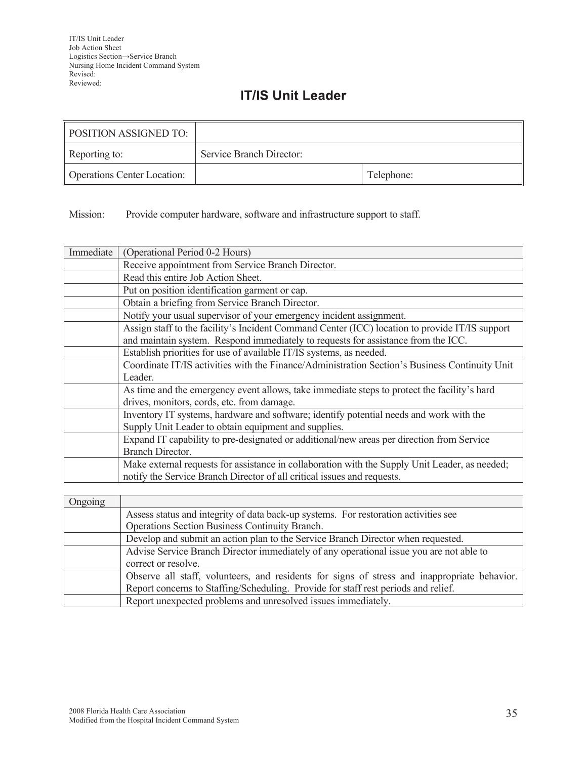## **IT/IS Unit Leader**

| <b>POSITION ASSIGNED TO:</b>       |                          |            |
|------------------------------------|--------------------------|------------|
| Reporting to:                      | Service Branch Director: |            |
| <b>Operations Center Location:</b> |                          | Telephone: |

Mission: Provide computer hardware, software and infrastructure support to staff.

| Immediate | (Operational Period 0-2 Hours)                                                                 |
|-----------|------------------------------------------------------------------------------------------------|
|           | Receive appointment from Service Branch Director.                                              |
|           | Read this entire Job Action Sheet.                                                             |
|           | Put on position identification garment or cap.                                                 |
|           | Obtain a briefing from Service Branch Director.                                                |
|           | Notify your usual supervisor of your emergency incident assignment.                            |
|           | Assign staff to the facility's Incident Command Center (ICC) location to provide IT/IS support |
|           | and maintain system. Respond immediately to requests for assistance from the ICC.              |
|           | Establish priorities for use of available IT/IS systems, as needed.                            |
|           | Coordinate IT/IS activities with the Finance/Administration Section's Business Continuity Unit |
|           | Leader.                                                                                        |
|           | As time and the emergency event allows, take immediate steps to protect the facility's hard    |
|           | drives, monitors, cords, etc. from damage.                                                     |
|           | Inventory IT systems, hardware and software; identify potential needs and work with the        |
|           | Supply Unit Leader to obtain equipment and supplies.                                           |
|           | Expand IT capability to pre-designated or additional/new areas per direction from Service      |
|           | <b>Branch Director.</b>                                                                        |
|           | Make external requests for assistance in collaboration with the Supply Unit Leader, as needed; |
|           | notify the Service Branch Director of all critical issues and requests.                        |

| Ongoing |                                                                                              |
|---------|----------------------------------------------------------------------------------------------|
|         | Assess status and integrity of data back-up systems. For restoration activities see          |
|         | Operations Section Business Continuity Branch.                                               |
|         | Develop and submit an action plan to the Service Branch Director when requested.             |
|         | Advise Service Branch Director immediately of any operational issue you are not able to      |
|         | correct or resolve.                                                                          |
|         | Observe all staff, volunteers, and residents for signs of stress and inappropriate behavior. |
|         | Report concerns to Staffing/Scheduling. Provide for staff rest periods and relief.           |
|         | Report unexpected problems and unresolved issues immediately.                                |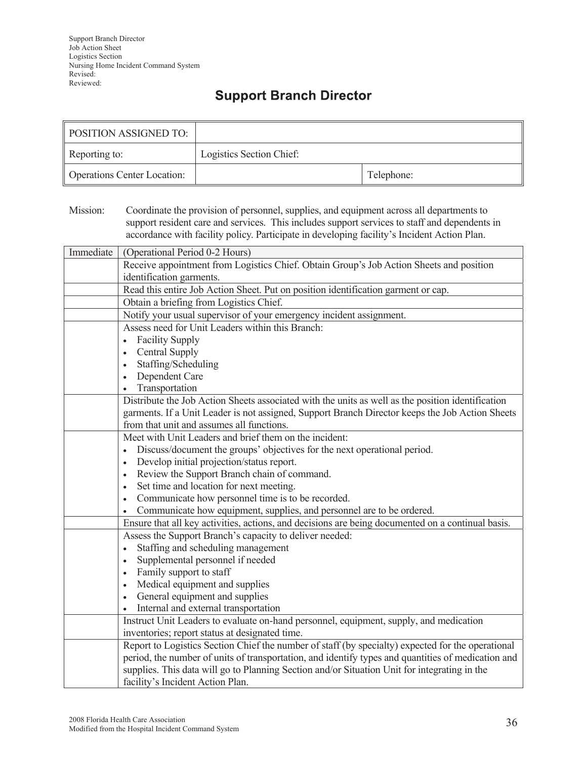## **Support Branch Director**

| POSITION ASSIGNED TO:              |                          |            |
|------------------------------------|--------------------------|------------|
| Reporting to:                      | Logistics Section Chief: |            |
| <b>Operations Center Location:</b> |                          | Telephone: |

Mission: Coordinate the provision of personnel, supplies, and equipment across all departments to support resident care and services. This includes support services to staff and dependents in accordance with facility policy. Participate in developing facility's Incident Action Plan.

| Immediate | (Operational Period 0-2 Hours)                                                                     |
|-----------|----------------------------------------------------------------------------------------------------|
|           | Receive appointment from Logistics Chief. Obtain Group's Job Action Sheets and position            |
|           | identification garments.                                                                           |
|           | Read this entire Job Action Sheet. Put on position identification garment or cap.                  |
|           | Obtain a briefing from Logistics Chief.                                                            |
|           | Notify your usual supervisor of your emergency incident assignment.                                |
|           | Assess need for Unit Leaders within this Branch:                                                   |
|           | <b>Facility Supply</b>                                                                             |
|           | <b>Central Supply</b>                                                                              |
|           | Staffing/Scheduling                                                                                |
|           | Dependent Care                                                                                     |
|           | Transportation                                                                                     |
|           | Distribute the Job Action Sheets associated with the units as well as the position identification  |
|           | garments. If a Unit Leader is not assigned, Support Branch Director keeps the Job Action Sheets    |
|           | from that unit and assumes all functions.                                                          |
|           | Meet with Unit Leaders and brief them on the incident:                                             |
|           | Discuss/document the groups' objectives for the next operational period.<br>$\bullet$              |
|           | Develop initial projection/status report.<br>$\bullet$                                             |
|           | Review the Support Branch chain of command.<br>$\bullet$                                           |
|           | Set time and location for next meeting.                                                            |
|           | Communicate how personnel time is to be recorded.                                                  |
|           | Communicate how equipment, supplies, and personnel are to be ordered.                              |
|           | Ensure that all key activities, actions, and decisions are being documented on a continual basis.  |
|           | Assess the Support Branch's capacity to deliver needed:                                            |
|           | Staffing and scheduling management                                                                 |
|           | Supplemental personnel if needed<br>$\bullet$                                                      |
|           | Family support to staff                                                                            |
|           | Medical equipment and supplies                                                                     |
|           | General equipment and supplies                                                                     |
|           | Internal and external transportation<br>$\bullet$                                                  |
|           | Instruct Unit Leaders to evaluate on-hand personnel, equipment, supply, and medication             |
|           | inventories; report status at designated time.                                                     |
|           | Report to Logistics Section Chief the number of staff (by specialty) expected for the operational  |
|           | period, the number of units of transportation, and identify types and quantities of medication and |
|           | supplies. This data will go to Planning Section and/or Situation Unit for integrating in the       |
|           | facility's Incident Action Plan.                                                                   |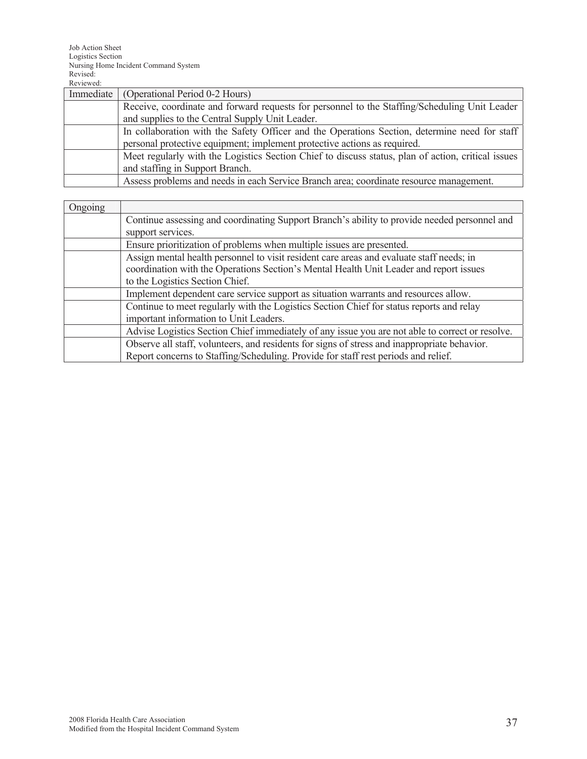| Immediate | (Operational Period 0-2 Hours)                                                                     |
|-----------|----------------------------------------------------------------------------------------------------|
|           | Receive, coordinate and forward requests for personnel to the Staffing/Scheduling Unit Leader      |
|           | and supplies to the Central Supply Unit Leader.                                                    |
|           | In collaboration with the Safety Officer and the Operations Section, determine need for staff      |
|           | personal protective equipment; implement protective actions as required.                           |
|           | Meet regularly with the Logistics Section Chief to discuss status, plan of action, critical issues |
|           | and staffing in Support Branch.                                                                    |
|           | Assess problems and needs in each Service Branch area; coordinate resource management.             |

| Ongoing |                                                                                                 |
|---------|-------------------------------------------------------------------------------------------------|
|         | Continue assessing and coordinating Support Branch's ability to provide needed personnel and    |
|         | support services.                                                                               |
|         | Ensure prioritization of problems when multiple issues are presented.                           |
|         | Assign mental health personnel to visit resident care areas and evaluate staff needs; in        |
|         | coordination with the Operations Section's Mental Health Unit Leader and report issues          |
|         | to the Logistics Section Chief.                                                                 |
|         | Implement dependent care service support as situation warrants and resources allow.             |
|         | Continue to meet regularly with the Logistics Section Chief for status reports and relay        |
|         | important information to Unit Leaders.                                                          |
|         | Advise Logistics Section Chief immediately of any issue you are not able to correct or resolve. |
|         | Observe all staff, volunteers, and residents for signs of stress and inappropriate behavior.    |
|         | Report concerns to Staffing/Scheduling. Provide for staff rest periods and relief.              |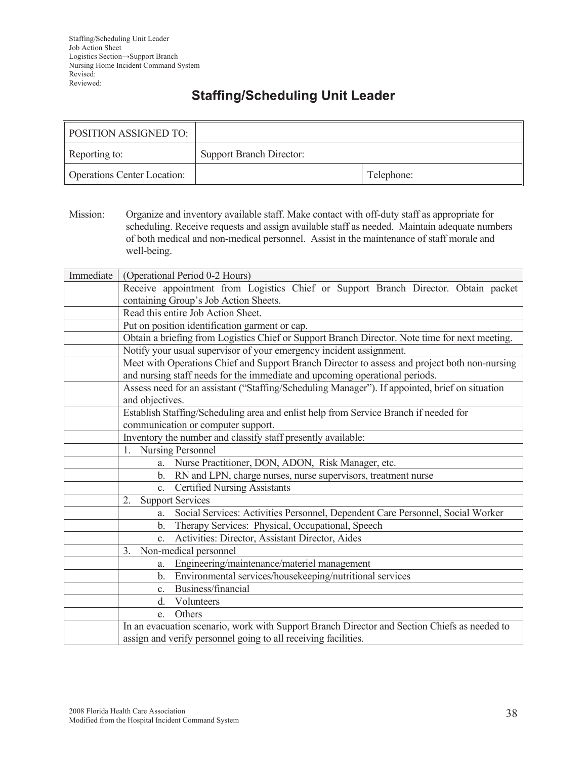## **Staffing/Scheduling Unit Leader**

| <b>POSITION ASSIGNED TO:</b>       |                                 |            |
|------------------------------------|---------------------------------|------------|
| Reporting to:                      | <b>Support Branch Director:</b> |            |
| <b>Operations Center Location:</b> |                                 | Telephone: |

Mission: Organize and inventory available staff. Make contact with off-duty staff as appropriate for scheduling. Receive requests and assign available staff as needed. Maintain adequate numbers of both medical and non-medical personnel. Assist in the maintenance of staff morale and well-being.

| Immediate | (Operational Period 0-2 Hours)                                                                 |
|-----------|------------------------------------------------------------------------------------------------|
|           | Receive appointment from Logistics Chief or Support Branch Director. Obtain packet             |
|           | containing Group's Job Action Sheets.                                                          |
|           | Read this entire Job Action Sheet.                                                             |
|           | Put on position identification garment or cap.                                                 |
|           | Obtain a briefing from Logistics Chief or Support Branch Director. Note time for next meeting. |
|           | Notify your usual supervisor of your emergency incident assignment.                            |
|           | Meet with Operations Chief and Support Branch Director to assess and project both non-nursing  |
|           | and nursing staff needs for the immediate and upcoming operational periods.                    |
|           | Assess need for an assistant ("Staffing/Scheduling Manager"). If appointed, brief on situation |
|           | and objectives.                                                                                |
|           | Establish Staffing/Scheduling area and enlist help from Service Branch if needed for           |
|           | communication or computer support.                                                             |
|           | Inventory the number and classify staff presently available:                                   |
|           | 1. Nursing Personnel                                                                           |
|           | Nurse Practitioner, DON, ADON, Risk Manager, etc.<br>a.                                        |
|           | RN and LPN, charge nurses, nurse supervisors, treatment nurse<br>b.                            |
|           | <b>Certified Nursing Assistants</b><br>$\mathbf{c}$ .                                          |
|           | <b>Support Services</b><br>2.                                                                  |
|           | Social Services: Activities Personnel, Dependent Care Personnel, Social Worker<br>a.           |
|           | Therapy Services: Physical, Occupational, Speech<br>$b_{-}$                                    |
|           | Activities: Director, Assistant Director, Aides<br>$\mathbf{c}$ .                              |
|           | Non-medical personnel<br>3 <sub>1</sub>                                                        |
|           | Engineering/maintenance/materiel management<br>a.                                              |
|           | Environmental services/housekeeping/nutritional services<br>$\mathbf{b}$ .                     |
|           | Business/financial<br>$\mathbf{C}$ .                                                           |
|           | Volunteers<br>d.                                                                               |
|           | Others<br>e.                                                                                   |
|           | In an evacuation scenario, work with Support Branch Director and Section Chiefs as needed to   |
|           | assign and verify personnel going to all receiving facilities.                                 |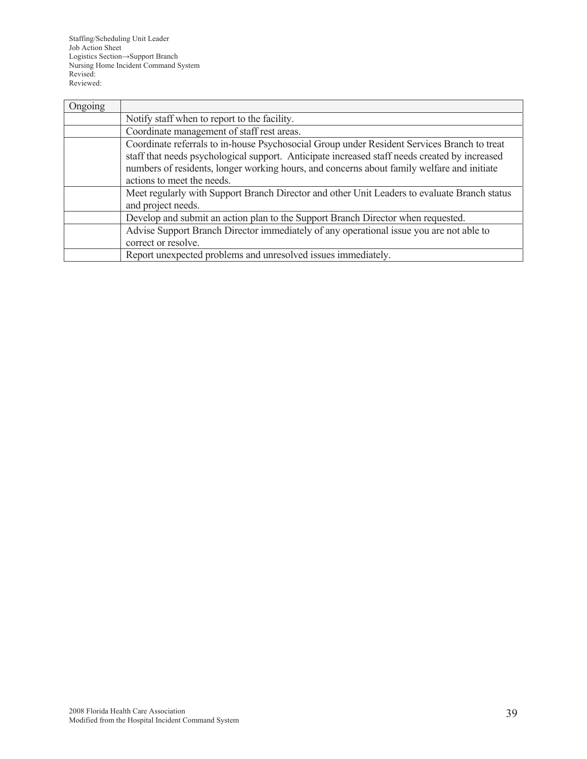Staffing/Scheduling Unit Leader Job Action Sheet Logistics Section→Support Branch Nursing Home Incident Command System Revised: Reviewed:

| Ongoing |                                                                                                                                                                                                                                                                                                                          |
|---------|--------------------------------------------------------------------------------------------------------------------------------------------------------------------------------------------------------------------------------------------------------------------------------------------------------------------------|
|         | Notify staff when to report to the facility.                                                                                                                                                                                                                                                                             |
|         | Coordinate management of staff rest areas.                                                                                                                                                                                                                                                                               |
|         | Coordinate referrals to in-house Psychosocial Group under Resident Services Branch to treat<br>staff that needs psychological support. Anticipate increased staff needs created by increased<br>numbers of residents, longer working hours, and concerns about family welfare and initiate<br>actions to meet the needs. |
|         | Meet regularly with Support Branch Director and other Unit Leaders to evaluate Branch status<br>and project needs.                                                                                                                                                                                                       |
|         | Develop and submit an action plan to the Support Branch Director when requested.                                                                                                                                                                                                                                         |
|         | Advise Support Branch Director immediately of any operational issue you are not able to<br>correct or resolve.                                                                                                                                                                                                           |
|         | Report unexpected problems and unresolved issues immediately.                                                                                                                                                                                                                                                            |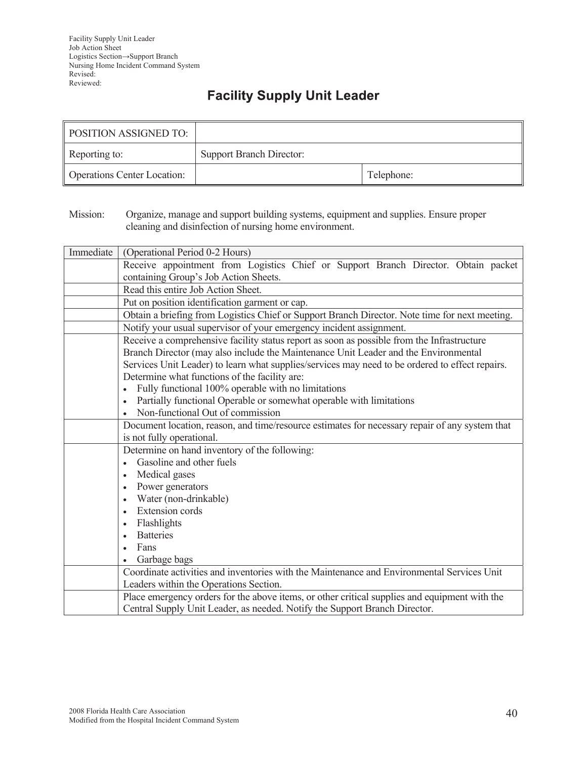# **Facility Supply Unit Leader**

| <b>POSITION ASSIGNED TO:</b>       |                                 |            |
|------------------------------------|---------------------------------|------------|
| Reporting to:                      | <b>Support Branch Director:</b> |            |
| <b>Operations Center Location:</b> |                                 | Telephone: |

#### Mission: Organize, manage and support building systems, equipment and supplies. Ensure proper cleaning and disinfection of nursing home environment.

| Immediate | (Operational Period 0-2 Hours)                                                                  |
|-----------|-------------------------------------------------------------------------------------------------|
|           | Receive appointment from Logistics Chief or Support Branch Director. Obtain packet              |
|           | containing Group's Job Action Sheets.                                                           |
|           | Read this entire Job Action Sheet.                                                              |
|           | Put on position identification garment or cap.                                                  |
|           | Obtain a briefing from Logistics Chief or Support Branch Director. Note time for next meeting.  |
|           | Notify your usual supervisor of your emergency incident assignment.                             |
|           | Receive a comprehensive facility status report as soon as possible from the Infrastructure      |
|           | Branch Director (may also include the Maintenance Unit Leader and the Environmental             |
|           | Services Unit Leader) to learn what supplies/services may need to be ordered to effect repairs. |
|           | Determine what functions of the facility are:                                                   |
|           | Fully functional 100% operable with no limitations                                              |
|           | Partially functional Operable or somewhat operable with limitations<br>$\bullet$                |
|           | Non-functional Out of commission                                                                |
|           | Document location, reason, and time/resource estimates for necessary repair of any system that  |
|           | is not fully operational.                                                                       |
|           | Determine on hand inventory of the following:                                                   |
|           | Gasoline and other fuels                                                                        |
|           | Medical gases<br>$\bullet$                                                                      |
|           | Power generators                                                                                |
|           | Water (non-drinkable)                                                                           |
|           | Extension cords                                                                                 |
|           | Flashlights<br>$\bullet$                                                                        |
|           | <b>Batteries</b>                                                                                |
|           | Fans                                                                                            |
|           | Garbage bags                                                                                    |
|           | Coordinate activities and inventories with the Maintenance and Environmental Services Unit      |
|           | Leaders within the Operations Section.                                                          |
|           | Place emergency orders for the above items, or other critical supplies and equipment with the   |
|           | Central Supply Unit Leader, as needed. Notify the Support Branch Director.                      |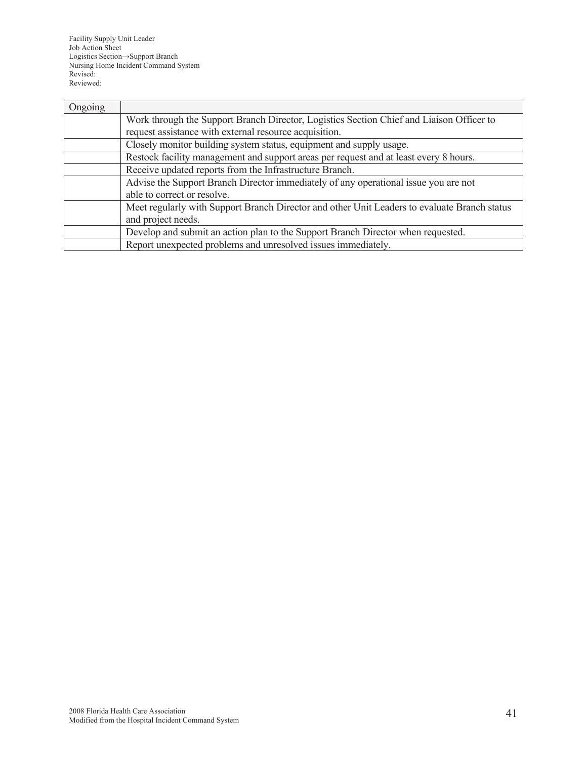Facility Supply Unit Leader Job Action Sheet Logistics Section→Support Branch Nursing Home Incident Command System Revised: Reviewed:

| Ongoing |                                                                                              |
|---------|----------------------------------------------------------------------------------------------|
|         | Work through the Support Branch Director, Logistics Section Chief and Liaison Officer to     |
|         | request assistance with external resource acquisition.                                       |
|         | Closely monitor building system status, equipment and supply usage.                          |
|         | Restock facility management and support areas per request and at least every 8 hours.        |
|         | Receive updated reports from the Infrastructure Branch.                                      |
|         | Advise the Support Branch Director immediately of any operational issue you are not          |
|         | able to correct or resolve.                                                                  |
|         | Meet regularly with Support Branch Director and other Unit Leaders to evaluate Branch status |
|         | and project needs.                                                                           |
|         | Develop and submit an action plan to the Support Branch Director when requested.             |
|         | Report unexpected problems and unresolved issues immediately.                                |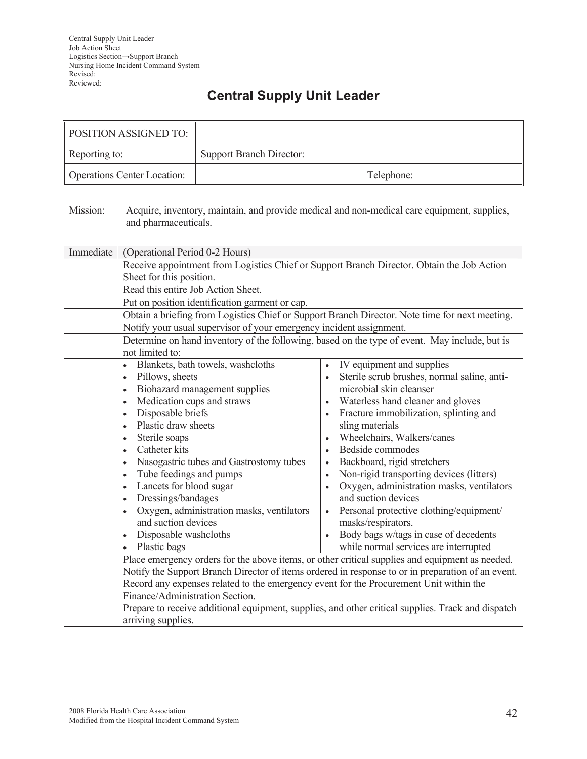## **Central Supply Unit Leader**

| POSITION ASSIGNED TO:              |                                 |            |
|------------------------------------|---------------------------------|------------|
| Reporting to:                      | <b>Support Branch Director:</b> |            |
| <b>Operations Center Location:</b> |                                 | Telephone: |

Mission: Acquire, inventory, maintain, and provide medical and non-medical care equipment, supplies, and pharmaceuticals.

| Immediate | (Operational Period 0-2 Hours)                                                                                                                                                                                                                                                                                                                                                                                                                                                                                                                                                       |                                                                                                                                                                                                                                                                                                                                                                                                                                                                                                                                                                        |  |
|-----------|--------------------------------------------------------------------------------------------------------------------------------------------------------------------------------------------------------------------------------------------------------------------------------------------------------------------------------------------------------------------------------------------------------------------------------------------------------------------------------------------------------------------------------------------------------------------------------------|------------------------------------------------------------------------------------------------------------------------------------------------------------------------------------------------------------------------------------------------------------------------------------------------------------------------------------------------------------------------------------------------------------------------------------------------------------------------------------------------------------------------------------------------------------------------|--|
|           | Receive appointment from Logistics Chief or Support Branch Director. Obtain the Job Action                                                                                                                                                                                                                                                                                                                                                                                                                                                                                           |                                                                                                                                                                                                                                                                                                                                                                                                                                                                                                                                                                        |  |
|           | Sheet for this position.                                                                                                                                                                                                                                                                                                                                                                                                                                                                                                                                                             |                                                                                                                                                                                                                                                                                                                                                                                                                                                                                                                                                                        |  |
|           | Read this entire Job Action Sheet.                                                                                                                                                                                                                                                                                                                                                                                                                                                                                                                                                   |                                                                                                                                                                                                                                                                                                                                                                                                                                                                                                                                                                        |  |
|           | Put on position identification garment or cap.                                                                                                                                                                                                                                                                                                                                                                                                                                                                                                                                       |                                                                                                                                                                                                                                                                                                                                                                                                                                                                                                                                                                        |  |
|           | Obtain a briefing from Logistics Chief or Support Branch Director. Note time for next meeting.                                                                                                                                                                                                                                                                                                                                                                                                                                                                                       |                                                                                                                                                                                                                                                                                                                                                                                                                                                                                                                                                                        |  |
|           | Notify your usual supervisor of your emergency incident assignment.                                                                                                                                                                                                                                                                                                                                                                                                                                                                                                                  |                                                                                                                                                                                                                                                                                                                                                                                                                                                                                                                                                                        |  |
|           | Determine on hand inventory of the following, based on the type of event. May include, but is<br>not limited to:                                                                                                                                                                                                                                                                                                                                                                                                                                                                     |                                                                                                                                                                                                                                                                                                                                                                                                                                                                                                                                                                        |  |
|           | Blankets, bath towels, washcloths<br>$\bullet$<br>Pillows, sheets<br>$\bullet$<br>Biohazard management supplies<br>$\bullet$<br>Medication cups and straws<br>$\bullet$<br>Disposable briefs<br>Plastic draw sheets<br>$\bullet$<br>Sterile soaps<br>$\bullet$<br>Catheter kits<br>$\bullet$<br>Nasogastric tubes and Gastrostomy tubes<br>$\bullet$<br>Tube feedings and pumps<br>Lancets for blood sugar<br>$\bullet$<br>Dressings/bandages<br>$\bullet$<br>Oxygen, administration masks, ventilators<br>$\bullet$<br>and suction devices<br>Disposable washcloths<br>Plastic bags | IV equipment and supplies<br>Sterile scrub brushes, normal saline, anti-<br>microbial skin cleanser<br>Waterless hand cleaner and gloves<br>$\bullet$<br>Fracture immobilization, splinting and<br>sling materials<br>Wheelchairs, Walkers/canes<br>Bedside commodes<br>Backboard, rigid stretchers<br>Non-rigid transporting devices (litters)<br>Oxygen, administration masks, ventilators<br>and suction devices<br>Personal protective clothing/equipment/<br>masks/respirators.<br>Body bags w/tags in case of decedents<br>while normal services are interrupted |  |
|           | Place emergency orders for the above items, or other critical supplies and equipment as needed.<br>Record any expenses related to the emergency event for the Procurement Unit within the<br>Finance/Administration Section.                                                                                                                                                                                                                                                                                                                                                         | Notify the Support Branch Director of items ordered in response to or in preparation of an event.<br>Prepare to receive additional equipment, supplies, and other critical supplies. Track and dispatch                                                                                                                                                                                                                                                                                                                                                                |  |
|           | arriving supplies.                                                                                                                                                                                                                                                                                                                                                                                                                                                                                                                                                                   |                                                                                                                                                                                                                                                                                                                                                                                                                                                                                                                                                                        |  |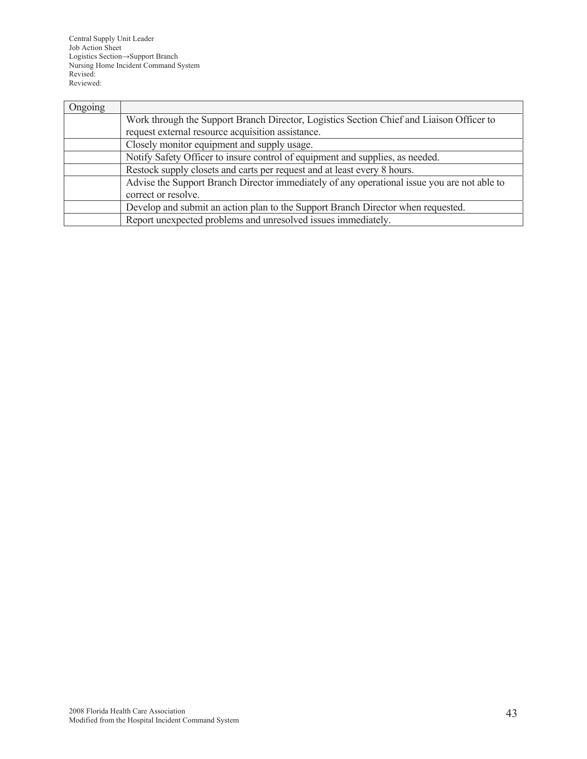Central Supply Unit Leader Job Action Sheet Logistics Section→Support Branch Nursing Home Incident Command System Revised: Reviewed:

| Ongoing |                                                                                             |
|---------|---------------------------------------------------------------------------------------------|
|         | Work through the Support Branch Director, Logistics Section Chief and Liaison Officer to    |
|         | request external resource acquisition assistance.                                           |
|         | Closely monitor equipment and supply usage.                                                 |
|         | Notify Safety Officer to insure control of equipment and supplies, as needed.               |
|         | Restock supply closets and carts per request and at least every 8 hours.                    |
|         | Advise the Support Branch Director immediately of any operational issue you are not able to |
|         | correct or resolve.                                                                         |
|         | Develop and submit an action plan to the Support Branch Director when requested.            |
|         | Report unexpected problems and unresolved issues immediately.                               |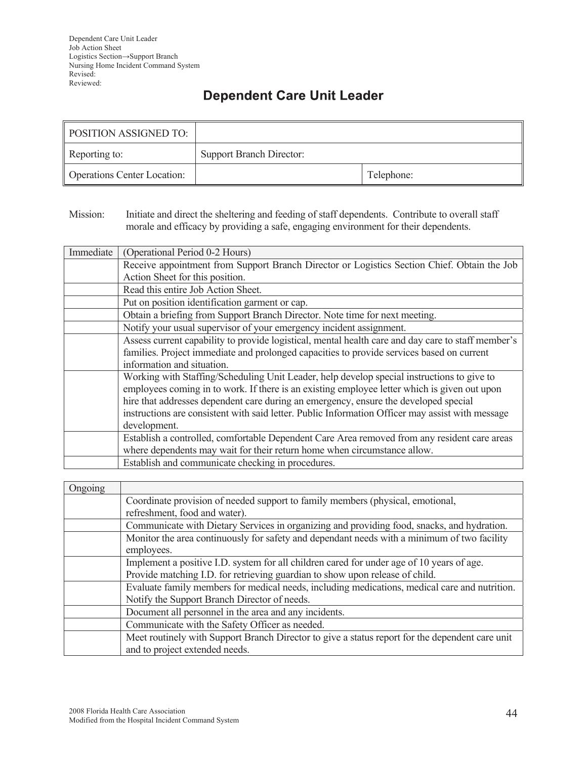# **Dependent Care Unit Leader**

| <b>POSITION ASSIGNED TO:</b>       |                                 |            |
|------------------------------------|---------------------------------|------------|
| Reporting to:                      | <b>Support Branch Director:</b> |            |
| <b>Operations Center Location:</b> |                                 | Telephone: |

Mission: Initiate and direct the sheltering and feeding of staff dependents. Contribute to overall staff morale and efficacy by providing a safe, engaging environment for their dependents.

| Immediate | (Operational Period 0-2 Hours)                                                                     |
|-----------|----------------------------------------------------------------------------------------------------|
|           | Receive appointment from Support Branch Director or Logistics Section Chief. Obtain the Job        |
|           | Action Sheet for this position.                                                                    |
|           | Read this entire Job Action Sheet.                                                                 |
|           | Put on position identification garment or cap.                                                     |
|           | Obtain a briefing from Support Branch Director. Note time for next meeting.                        |
|           | Notify your usual supervisor of your emergency incident assignment.                                |
|           | Assess current capability to provide logistical, mental health care and day care to staff member's |
|           | families. Project immediate and prolonged capacities to provide services based on current          |
|           | information and situation.                                                                         |
|           | Working with Staffing/Scheduling Unit Leader, help develop special instructions to give to         |
|           | employees coming in to work. If there is an existing employee letter which is given out upon       |
|           | hire that addresses dependent care during an emergency, ensure the developed special               |
|           | instructions are consistent with said letter. Public Information Officer may assist with message   |
|           | development.                                                                                       |
|           | Establish a controlled, comfortable Dependent Care Area removed from any resident care areas       |
|           | where dependents may wait for their return home when circumstance allow.                           |
|           | Establish and communicate checking in procedures.                                                  |

| Ongoing |                                                                                                 |
|---------|-------------------------------------------------------------------------------------------------|
|         | Coordinate provision of needed support to family members (physical, emotional,                  |
|         | refreshment, food and water).                                                                   |
|         | Communicate with Dietary Services in organizing and providing food, snacks, and hydration.      |
|         | Monitor the area continuously for safety and dependant needs with a minimum of two facility     |
|         | employees.                                                                                      |
|         | Implement a positive I.D. system for all children cared for under age of 10 years of age.       |
|         | Provide matching I.D. for retrieving guardian to show upon release of child.                    |
|         | Evaluate family members for medical needs, including medications, medical care and nutrition.   |
|         | Notify the Support Branch Director of needs.                                                    |
|         | Document all personnel in the area and any incidents.                                           |
|         | Communicate with the Safety Officer as needed.                                                  |
|         | Meet routinely with Support Branch Director to give a status report for the dependent care unit |
|         | and to project extended needs.                                                                  |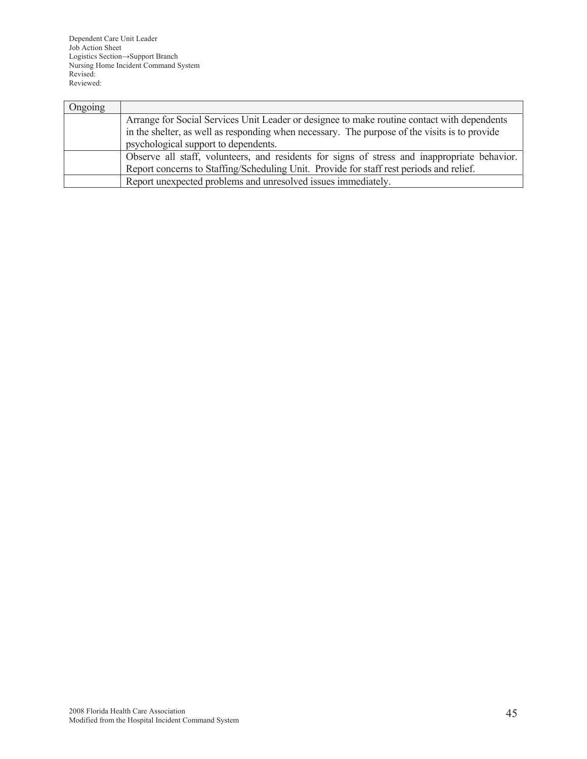Dependent Care Unit Leader Job Action Sheet Logistics Section→Support Branch Nursing Home Incident Command System Revised: Reviewed:

| Ongoing |                                                                                               |
|---------|-----------------------------------------------------------------------------------------------|
|         | Arrange for Social Services Unit Leader or designee to make routine contact with dependents   |
|         | in the shelter, as well as responding when necessary. The purpose of the visits is to provide |
|         | psychological support to dependents.                                                          |
|         | Observe all staff, volunteers, and residents for signs of stress and inappropriate behavior.  |
|         | Report concerns to Staffing/Scheduling Unit. Provide for staff rest periods and relief.       |
|         | Report unexpected problems and unresolved issues immediately.                                 |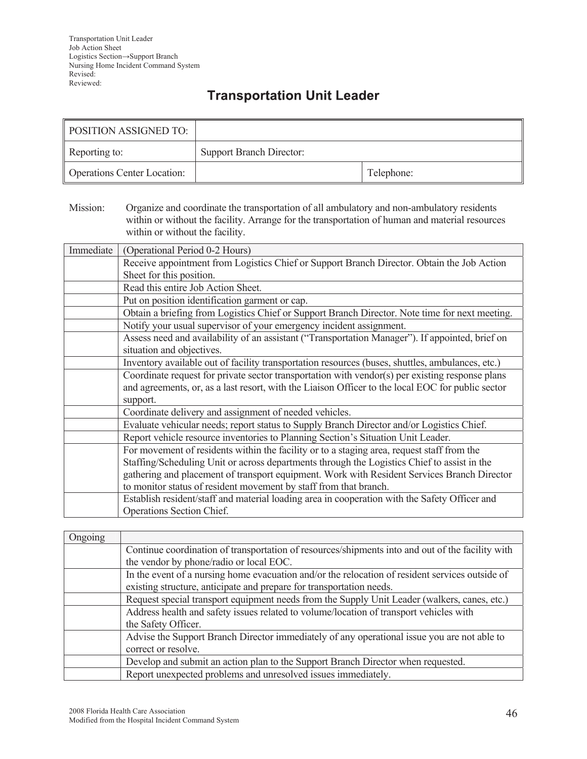## **Transportation Unit Leader**

| <b>POSITION ASSIGNED TO:</b>       |                                 |            |
|------------------------------------|---------------------------------|------------|
| Reporting to:                      | <b>Support Branch Director:</b> |            |
| <b>Operations Center Location:</b> |                                 | Telephone: |

Mission: Organize and coordinate the transportation of all ambulatory and non-ambulatory residents within or without the facility. Arrange for the transportation of human and material resources within or without the facility.

| Immediate | (Operational Period 0-2 Hours)                                                                    |
|-----------|---------------------------------------------------------------------------------------------------|
|           | Receive appointment from Logistics Chief or Support Branch Director. Obtain the Job Action        |
|           | Sheet for this position.                                                                          |
|           | Read this entire Job Action Sheet.                                                                |
|           | Put on position identification garment or cap.                                                    |
|           | Obtain a briefing from Logistics Chief or Support Branch Director. Note time for next meeting.    |
|           | Notify your usual supervisor of your emergency incident assignment.                               |
|           | Assess need and availability of an assistant ("Transportation Manager"). If appointed, brief on   |
|           | situation and objectives.                                                                         |
|           | Inventory available out of facility transportation resources (buses, shuttles, ambulances, etc.)  |
|           | Coordinate request for private sector transportation with vendor(s) per existing response plans   |
|           | and agreements, or, as a last resort, with the Liaison Officer to the local EOC for public sector |
|           | support.                                                                                          |
|           | Coordinate delivery and assignment of needed vehicles.                                            |
|           | Evaluate vehicular needs; report status to Supply Branch Director and/or Logistics Chief.         |
|           | Report vehicle resource inventories to Planning Section's Situation Unit Leader.                  |
|           | For movement of residents within the facility or to a staging area, request staff from the        |
|           | Staffing/Scheduling Unit or across departments through the Logistics Chief to assist in the       |
|           | gathering and placement of transport equipment. Work with Resident Services Branch Director       |
|           | to monitor status of resident movement by staff from that branch.                                 |
|           | Establish resident/staff and material loading area in cooperation with the Safety Officer and     |
|           | Operations Section Chief.                                                                         |

| Ongoing |                                                                                                  |
|---------|--------------------------------------------------------------------------------------------------|
|         | Continue coordination of transportation of resources/shipments into and out of the facility with |
|         | the vendor by phone/radio or local EOC.                                                          |
|         | In the event of a nursing home evacuation and/or the relocation of resident services outside of  |
|         | existing structure, anticipate and prepare for transportation needs.                             |
|         | Request special transport equipment needs from the Supply Unit Leader (walkers, canes, etc.)     |
|         | Address health and safety issues related to volume/location of transport vehicles with           |
|         | the Safety Officer.                                                                              |
|         | Advise the Support Branch Director immediately of any operational issue you are not able to      |
|         | correct or resolve.                                                                              |
|         | Develop and submit an action plan to the Support Branch Director when requested.                 |
|         | Report unexpected problems and unresolved issues immediately.                                    |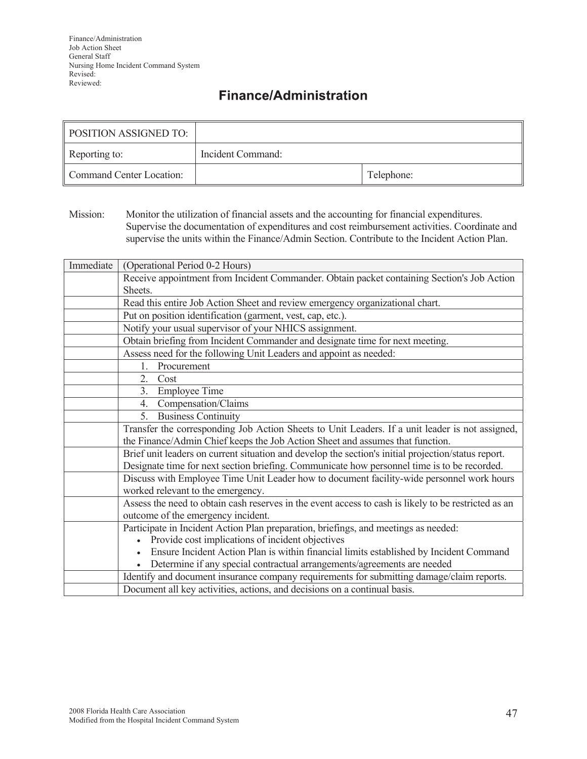## **Finance/Administration**

| <b>POSITION ASSIGNED TO:</b> |                   |            |
|------------------------------|-------------------|------------|
| Reporting to:                | Incident Command: |            |
| Command Center Location:     |                   | Telephone: |

Mission: Monitor the utilization of financial assets and the accounting for financial expenditures. Supervise the documentation of expenditures and cost reimbursement activities. Coordinate and supervise the units within the Finance/Admin Section. Contribute to the Incident Action Plan.

| Immediate | (Operational Period 0-2 Hours)                                                                       |
|-----------|------------------------------------------------------------------------------------------------------|
|           | Receive appointment from Incident Commander. Obtain packet containing Section's Job Action           |
|           | Sheets.                                                                                              |
|           | Read this entire Job Action Sheet and review emergency organizational chart.                         |
|           | Put on position identification (garment, vest, cap, etc.).                                           |
|           | Notify your usual supervisor of your NHICS assignment.                                               |
|           | Obtain briefing from Incident Commander and designate time for next meeting.                         |
|           | Assess need for the following Unit Leaders and appoint as needed:                                    |
|           | Procurement<br>$\mathbf{1}$                                                                          |
|           | $\overline{2}$ .<br>Cost                                                                             |
|           | <b>Employee Time</b><br>3.                                                                           |
|           | Compensation/Claims<br>4.                                                                            |
|           | 5. Business Continuity                                                                               |
|           | Transfer the corresponding Job Action Sheets to Unit Leaders. If a unit leader is not assigned,      |
|           | the Finance/Admin Chief keeps the Job Action Sheet and assumes that function.                        |
|           | Brief unit leaders on current situation and develop the section's initial projection/status report.  |
|           | Designate time for next section briefing. Communicate how personnel time is to be recorded.          |
|           | Discuss with Employee Time Unit Leader how to document facility-wide personnel work hours            |
|           | worked relevant to the emergency.                                                                    |
|           | Assess the need to obtain cash reserves in the event access to cash is likely to be restricted as an |
|           | outcome of the emergency incident.                                                                   |
|           | Participate in Incident Action Plan preparation, briefings, and meetings as needed:                  |
|           | Provide cost implications of incident objectives                                                     |
|           | Ensure Incident Action Plan is within financial limits established by Incident Command               |
|           | Determine if any special contractual arrangements/agreements are needed                              |
|           | Identify and document insurance company requirements for submitting damage/claim reports.            |
|           | Document all key activities, actions, and decisions on a continual basis.                            |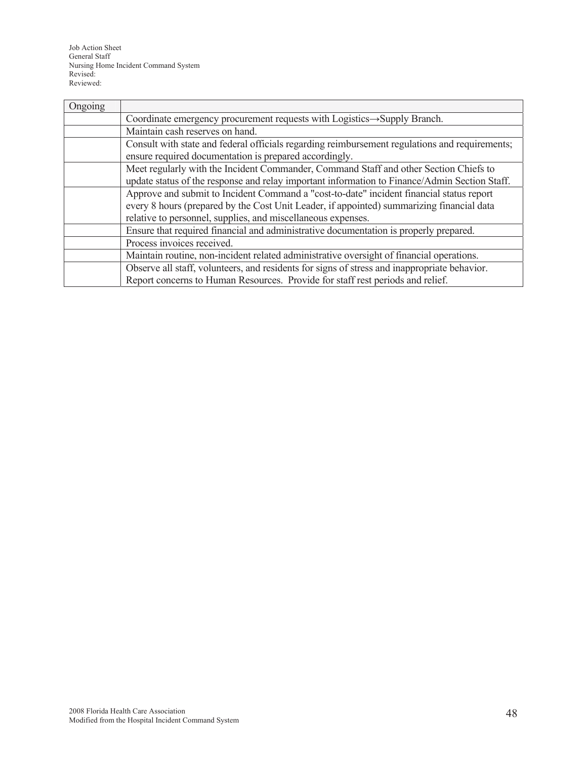Job Action Sheet General Staff Nursing Home Incident Command System Revised: Reviewed:

| Ongoing |                                                                                                |  |
|---------|------------------------------------------------------------------------------------------------|--|
|         | Coordinate emergency procurement requests with Logistics -> Supply Branch.                     |  |
|         | Maintain cash reserves on hand.                                                                |  |
|         | Consult with state and federal officials regarding reimbursement regulations and requirements; |  |
|         | ensure required documentation is prepared accordingly.                                         |  |
|         | Meet regularly with the Incident Commander, Command Staff and other Section Chiefs to          |  |
|         | update status of the response and relay important information to Finance/Admin Section Staff.  |  |
|         | Approve and submit to Incident Command a "cost-to-date" incident financial status report       |  |
|         | every 8 hours (prepared by the Cost Unit Leader, if appointed) summarizing financial data      |  |
|         | relative to personnel, supplies, and miscellaneous expenses.                                   |  |
|         | Ensure that required financial and administrative documentation is properly prepared.          |  |
|         | Process invoices received.                                                                     |  |
|         | Maintain routine, non-incident related administrative oversight of financial operations.       |  |
|         | Observe all staff, volunteers, and residents for signs of stress and inappropriate behavior.   |  |
|         | Report concerns to Human Resources. Provide for staff rest periods and relief.                 |  |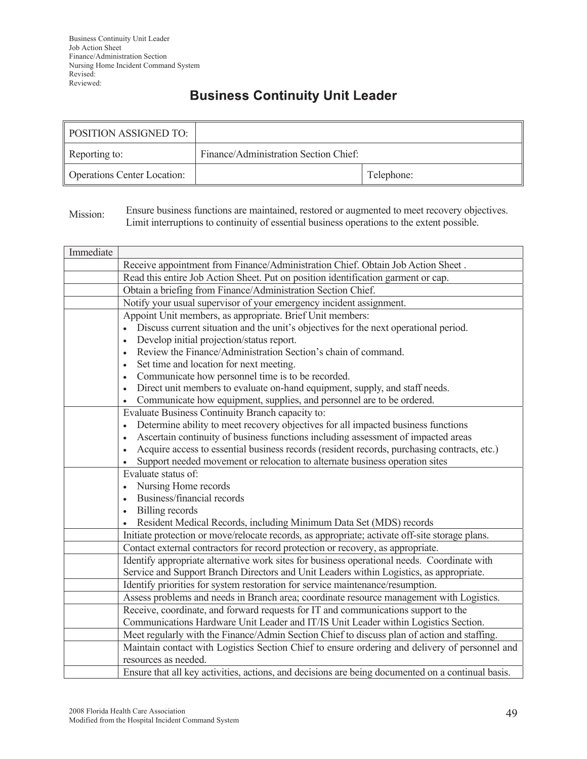# **Business Continuity Unit Leader**

| <b>POSITION ASSIGNED TO:</b>       |                                       |            |
|------------------------------------|---------------------------------------|------------|
| Reporting to:                      | Finance/Administration Section Chief: |            |
| <b>Operations Center Location:</b> |                                       | Telephone: |

Mission: Ensure business functions are maintained, restored or augmented to meet recovery objectives. Limit interruptions to continuity of essential business operations to the extent possible.

| Immediate |                                                                                                   |  |
|-----------|---------------------------------------------------------------------------------------------------|--|
|           | Receive appointment from Finance/Administration Chief. Obtain Job Action Sheet.                   |  |
|           | Read this entire Job Action Sheet. Put on position identification garment or cap.                 |  |
|           | Obtain a briefing from Finance/Administration Section Chief.                                      |  |
|           | Notify your usual supervisor of your emergency incident assignment.                               |  |
|           | Appoint Unit members, as appropriate. Brief Unit members:                                         |  |
|           | Discuss current situation and the unit's objectives for the next operational period.              |  |
|           | Develop initial projection/status report.<br>$\bullet$                                            |  |
|           | Review the Finance/Administration Section's chain of command.<br>$\bullet$                        |  |
|           | Set time and location for next meeting.<br>$\bullet$                                              |  |
|           | Communicate how personnel time is to be recorded.<br>$\bullet$                                    |  |
|           | Direct unit members to evaluate on-hand equipment, supply, and staff needs.<br>$\bullet$          |  |
|           | Communicate how equipment, supplies, and personnel are to be ordered.                             |  |
|           | Evaluate Business Continuity Branch capacity to:                                                  |  |
|           | Determine ability to meet recovery objectives for all impacted business functions                 |  |
|           | Ascertain continuity of business functions including assessment of impacted areas<br>$\bullet$    |  |
|           | Acquire access to essential business records (resident records, purchasing contracts, etc.)       |  |
|           | Support needed movement or relocation to alternate business operation sites                       |  |
|           | Evaluate status of:                                                                               |  |
|           | Nursing Home records<br>$\bullet$                                                                 |  |
|           | Business/financial records<br>$\bullet$                                                           |  |
|           | Billing records                                                                                   |  |
|           | Resident Medical Records, including Minimum Data Set (MDS) records                                |  |
|           | Initiate protection or move/relocate records, as appropriate; activate off-site storage plans.    |  |
|           | Contact external contractors for record protection or recovery, as appropriate.                   |  |
|           | Identify appropriate alternative work sites for business operational needs. Coordinate with       |  |
|           | Service and Support Branch Directors and Unit Leaders within Logistics, as appropriate.           |  |
|           | Identify priorities for system restoration for service maintenance/resumption.                    |  |
|           | Assess problems and needs in Branch area; coordinate resource management with Logistics.          |  |
|           | Receive, coordinate, and forward requests for IT and communications support to the                |  |
|           | Communications Hardware Unit Leader and IT/IS Unit Leader within Logistics Section.               |  |
|           | Meet regularly with the Finance/Admin Section Chief to discuss plan of action and staffing.       |  |
|           | Maintain contact with Logistics Section Chief to ensure ordering and delivery of personnel and    |  |
|           | resources as needed.                                                                              |  |
|           | Ensure that all key activities, actions, and decisions are being documented on a continual basis. |  |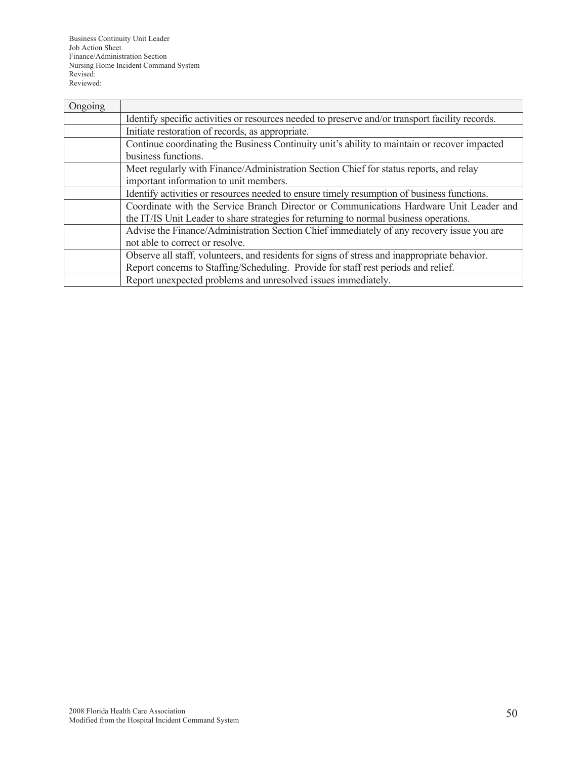Business Continuity Unit Leader Job Action Sheet Finance/Administration Section Nursing Home Incident Command System Revised: Reviewed:

| Ongoing |                                                                                                 |  |
|---------|-------------------------------------------------------------------------------------------------|--|
|         | Identify specific activities or resources needed to preserve and/or transport facility records. |  |
|         | Initiate restoration of records, as appropriate.                                                |  |
|         | Continue coordinating the Business Continuity unit's ability to maintain or recover impacted    |  |
|         | business functions.                                                                             |  |
|         | Meet regularly with Finance/Administration Section Chief for status reports, and relay          |  |
|         | important information to unit members.                                                          |  |
|         | Identify activities or resources needed to ensure timely resumption of business functions.      |  |
|         | Coordinate with the Service Branch Director or Communications Hardware Unit Leader and          |  |
|         | the IT/IS Unit Leader to share strategies for returning to normal business operations.          |  |
|         | Advise the Finance/Administration Section Chief immediately of any recovery issue you are       |  |
|         | not able to correct or resolve.                                                                 |  |
|         | Observe all staff, volunteers, and residents for signs of stress and inappropriate behavior.    |  |
|         | Report concerns to Staffing/Scheduling. Provide for staff rest periods and relief.              |  |
|         | Report unexpected problems and unresolved issues immediately.                                   |  |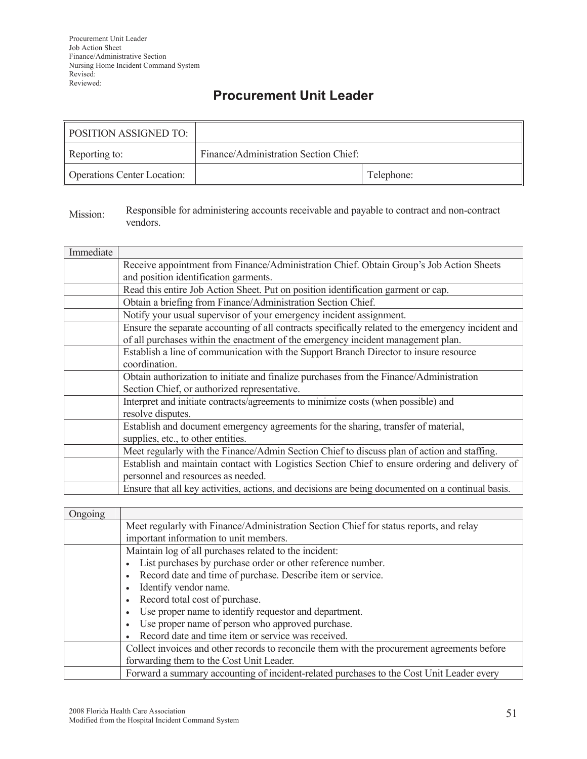### **Procurement Unit Leader**

| POSITION ASSIGNED TO:              |                                       |            |
|------------------------------------|---------------------------------------|------------|
| Reporting to:                      | Finance/Administration Section Chief: |            |
| <b>Operations Center Location:</b> |                                       | Telephone: |

#### Mission: Responsible for administering accounts receivable and payable to contract and non-contract vendors.

| Immediate |                                                                                                    |  |
|-----------|----------------------------------------------------------------------------------------------------|--|
|           | Receive appointment from Finance/Administration Chief. Obtain Group's Job Action Sheets            |  |
|           | and position identification garments.                                                              |  |
|           | Read this entire Job Action Sheet. Put on position identification garment or cap.                  |  |
|           | Obtain a briefing from Finance/Administration Section Chief.                                       |  |
|           | Notify your usual supervisor of your emergency incident assignment.                                |  |
|           | Ensure the separate accounting of all contracts specifically related to the emergency incident and |  |
|           | of all purchases within the enactment of the emergency incident management plan.                   |  |
|           | Establish a line of communication with the Support Branch Director to insure resource              |  |
|           | coordination.                                                                                      |  |
|           | Obtain authorization to initiate and finalize purchases from the Finance/Administration            |  |
|           | Section Chief, or authorized representative.                                                       |  |
|           | Interpret and initiate contracts/agreements to minimize costs (when possible) and                  |  |
|           | resolve disputes.                                                                                  |  |
|           | Establish and document emergency agreements for the sharing, transfer of material,                 |  |
|           | supplies, etc., to other entities.                                                                 |  |
|           | Meet regularly with the Finance/Admin Section Chief to discuss plan of action and staffing.        |  |
|           | Establish and maintain contact with Logistics Section Chief to ensure ordering and delivery of     |  |
|           | personnel and resources as needed.                                                                 |  |
|           | Ensure that all key activities, actions, and decisions are being documented on a continual basis.  |  |

| Ongoing |                                                                                             |  |  |
|---------|---------------------------------------------------------------------------------------------|--|--|
|         | Meet regularly with Finance/Administration Section Chief for status reports, and relay      |  |  |
|         | important information to unit members.                                                      |  |  |
|         | Maintain log of all purchases related to the incident:                                      |  |  |
|         | List purchases by purchase order or other reference number.                                 |  |  |
|         | Record date and time of purchase. Describe item or service.<br>$\bullet$                    |  |  |
|         | Identify vendor name.<br>$\bullet$                                                          |  |  |
|         | Record total cost of purchase.<br>$\bullet$                                                 |  |  |
|         | Use proper name to identify requestor and department.                                       |  |  |
|         | Use proper name of person who approved purchase.<br>$\bullet$                               |  |  |
|         | Record date and time item or service was received.                                          |  |  |
|         | Collect invoices and other records to reconcile them with the procurement agreements before |  |  |
|         | forwarding them to the Cost Unit Leader.                                                    |  |  |
|         | Forward a summary accounting of incident-related purchases to the Cost Unit Leader every    |  |  |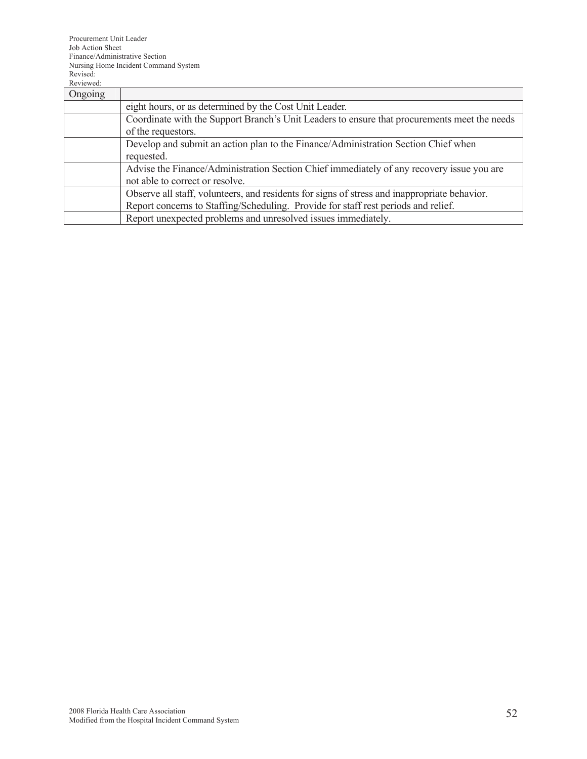| Ongoing |                                                                                              |  |
|---------|----------------------------------------------------------------------------------------------|--|
|         | eight hours, or as determined by the Cost Unit Leader.                                       |  |
|         | Coordinate with the Support Branch's Unit Leaders to ensure that procurements meet the needs |  |
|         | of the requestors.                                                                           |  |
|         | Develop and submit an action plan to the Finance/Administration Section Chief when           |  |
|         | requested.                                                                                   |  |
|         | Advise the Finance/Administration Section Chief immediately of any recovery issue you are    |  |
|         | not able to correct or resolve.                                                              |  |
|         | Observe all staff, volunteers, and residents for signs of stress and inappropriate behavior. |  |
|         | Report concerns to Staffing/Scheduling. Provide for staff rest periods and relief.           |  |
|         | Report unexpected problems and unresolved issues immediately.                                |  |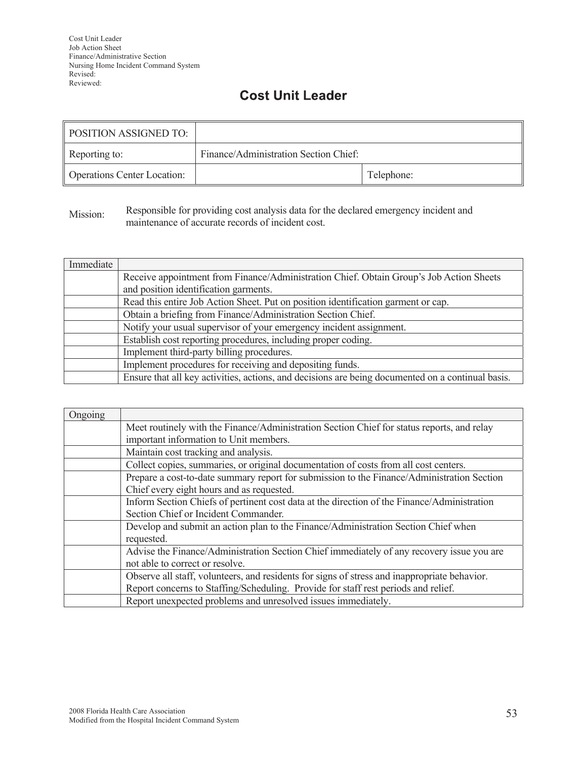## **Cost Unit Leader**

| <b>POSITION ASSIGNED TO:</b>       |                                       |            |
|------------------------------------|---------------------------------------|------------|
| Reporting to:                      | Finance/Administration Section Chief: |            |
| <b>Operations Center Location:</b> |                                       | Telephone: |

Mission: Responsible for providing cost analysis data for the declared emergency incident and maintenance of accurate records of incident cost.

| Immediate |                                                                                                   |  |
|-----------|---------------------------------------------------------------------------------------------------|--|
|           | Receive appointment from Finance/Administration Chief. Obtain Group's Job Action Sheets           |  |
|           | and position identification garments.                                                             |  |
|           | Read this entire Job Action Sheet. Put on position identification garment or cap.                 |  |
|           | Obtain a briefing from Finance/Administration Section Chief.                                      |  |
|           | Notify your usual supervisor of your emergency incident assignment.                               |  |
|           | Establish cost reporting procedures, including proper coding.                                     |  |
|           | Implement third-party billing procedures.                                                         |  |
|           | Implement procedures for receiving and depositing funds.                                          |  |
|           | Ensure that all key activities, actions, and decisions are being documented on a continual basis. |  |

| Ongoing |                                                                                              |  |
|---------|----------------------------------------------------------------------------------------------|--|
|         | Meet routinely with the Finance/Administration Section Chief for status reports, and relay   |  |
|         | important information to Unit members.                                                       |  |
|         | Maintain cost tracking and analysis.                                                         |  |
|         | Collect copies, summaries, or original documentation of costs from all cost centers.         |  |
|         | Prepare a cost-to-date summary report for submission to the Finance/Administration Section   |  |
|         | Chief every eight hours and as requested.                                                    |  |
|         | Inform Section Chiefs of pertinent cost data at the direction of the Finance/Administration  |  |
|         | Section Chief or Incident Commander.                                                         |  |
|         | Develop and submit an action plan to the Finance/Administration Section Chief when           |  |
|         | requested.                                                                                   |  |
|         | Advise the Finance/Administration Section Chief immediately of any recovery issue you are    |  |
|         | not able to correct or resolve.                                                              |  |
|         | Observe all staff, volunteers, and residents for signs of stress and inappropriate behavior. |  |
|         | Report concerns to Staffing/Scheduling. Provide for staff rest periods and relief.           |  |
|         | Report unexpected problems and unresolved issues immediately.                                |  |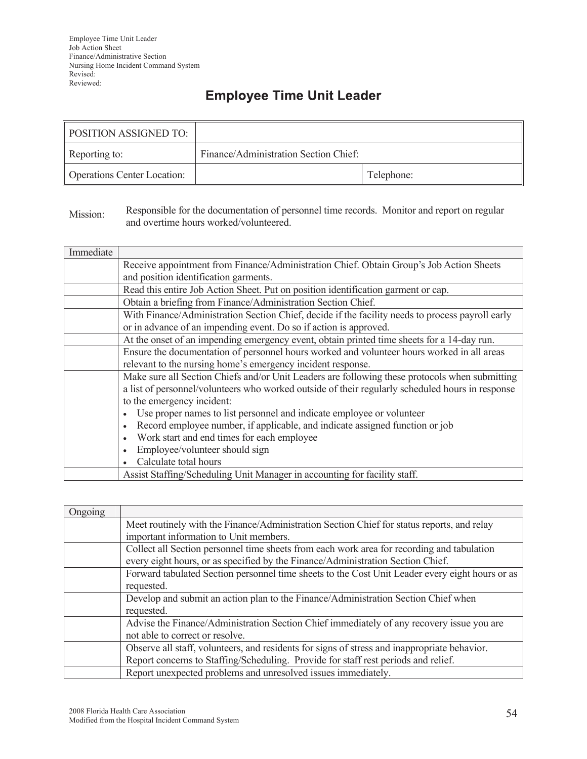# **Employee Time Unit Leader**

| POSITION ASSIGNED TO:              |                                       |            |
|------------------------------------|---------------------------------------|------------|
| Reporting to:                      | Finance/Administration Section Chief: |            |
| <b>Operations Center Location:</b> |                                       | Telephone: |

#### Mission: Responsible for the documentation of personnel time records. Monitor and report on regular and overtime hours worked/volunteered.

| Immediate |                                                                                                  |
|-----------|--------------------------------------------------------------------------------------------------|
|           | Receive appointment from Finance/Administration Chief. Obtain Group's Job Action Sheets          |
|           | and position identification garments.                                                            |
|           | Read this entire Job Action Sheet. Put on position identification garment or cap.                |
|           | Obtain a briefing from Finance/Administration Section Chief.                                     |
|           | With Finance/Administration Section Chief, decide if the facility needs to process payroll early |
|           | or in advance of an impending event. Do so if action is approved.                                |
|           | At the onset of an impending emergency event, obtain printed time sheets for a 14-day run.       |
|           | Ensure the documentation of personnel hours worked and volunteer hours worked in all areas       |
|           | relevant to the nursing home's emergency incident response.                                      |
|           | Make sure all Section Chiefs and/or Unit Leaders are following these protocols when submitting   |
|           | a list of personnel/volunteers who worked outside of their regularly scheduled hours in response |
|           | to the emergency incident:                                                                       |
|           | Use proper names to list personnel and indicate employee or volunteer                            |
|           | Record employee number, if applicable, and indicate assigned function or job                     |
|           | Work start and end times for each employee                                                       |
|           | Employee/volunteer should sign                                                                   |
|           | Calculate total hours                                                                            |
|           | Assist Staffing/Scheduling Unit Manager in accounting for facility staff.                        |

| Ongoing |                                                                                                 |
|---------|-------------------------------------------------------------------------------------------------|
|         | Meet routinely with the Finance/Administration Section Chief for status reports, and relay      |
|         | important information to Unit members.                                                          |
|         | Collect all Section personnel time sheets from each work area for recording and tabulation      |
|         | every eight hours, or as specified by the Finance/Administration Section Chief.                 |
|         | Forward tabulated Section personnel time sheets to the Cost Unit Leader every eight hours or as |
|         | requested.                                                                                      |
|         | Develop and submit an action plan to the Finance/Administration Section Chief when              |
|         | requested.                                                                                      |
|         | Advise the Finance/Administration Section Chief immediately of any recovery issue you are       |
|         | not able to correct or resolve.                                                                 |
|         | Observe all staff, volunteers, and residents for signs of stress and inappropriate behavior.    |
|         | Report concerns to Staffing/Scheduling. Provide for staff rest periods and relief.              |
|         | Report unexpected problems and unresolved issues immediately.                                   |